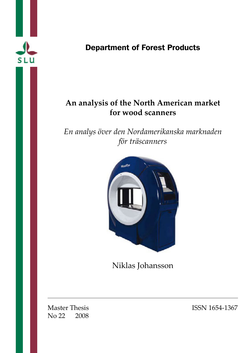

# Department of Forest Products

# **An analysis of the North American market for wood scanners**

*En analys över den Nordamerikanska marknaden för träscanners*



Niklas Johansson

No 22 2008

Master Thesis ISSN 1654-1367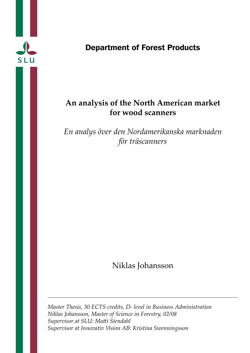

# Department of Forest Products

# **An analysis of the North American market for wood scanners**

*En analys över den Nordamerikanska marknaden för träscanners*

Niklas Johansson

*Master Thesis, 30 ECTS credits, D- level in Business Administration Niklas Johansson, Master of Science in Forestry, 02/08 Supervisor at SLU: Matti Stendahl Supervisor at Innovativ Vision AB: Kristina Swenningsson*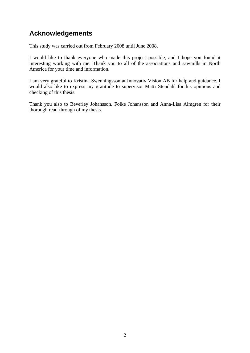# **Acknowledgements**

This study was carried out from February 2008 until June 2008.

I would like to thank everyone who made this project possible, and I hope you found it interesting working with me. Thank you to all of the associations and sawmills in North America for your time and information.

I am very grateful to Kristina Swenningsson at Innovativ Vision AB for help and guidance. I would also like to express my gratitude to supervisor Matti Stendahl for his opinions and checking of this thesis.

Thank you also to Beverley Johansson, Folke Johansson and Anna-Lisa Almgren for their thorough read-through of my thesis.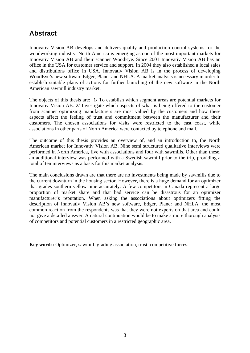# **Abstract**

Innovativ Vision AB develops and delivers quality and production control systems for the woodworking industry. North America is emerging as one of the most important markets for Innovativ Vision AB and their scanner WoodEye. Since 2001 Innovativ Vision AB has an office in the USA for customer service and support. In 2004 they also established a local sales and distributions office in USA. Innovativ Vision AB is in the process of developing WoodEye's new software Edger, Planer and NHLA. A market analysis is necessary in order to establish suitable plans of actions for further launching of the new software in the North American sawmill industry market.

The objects of this thesis are: 1/ To establish which segment areas are potential markets for Innovativ Vision AB. 2/ Investigate which aspects of what is being offered to the customer from scanner optimizing manufacturers are most valued by the customers and how these aspects affect the feeling of trust and commitment between the manufacturer and their customers. The chosen associations for visits were restricted to the east coast, while associations in other parts of North America were contacted by telephone and mail.

The outcome of this thesis provides an overview of, and an introduction to, the North American market for Innovativ Vision AB. Nine semi structured qualitative interviews were performed in North America, five with associations and four with sawmills. Other than these, an additional interview was performed with a Swedish sawmill prior to the trip, providing a total of ten interviews as a basis for this market analysis.

The main conclusions drawn are that there are no investments being made by sawmills due to the current downturn in the housing sector. However, there is a huge demand for an optimizer that grades southern yellow pine accurately. A few competitors in Canada represent a large proportion of market share and that bad service can be disastrous for an optimizer manufacturer's reputation. When asking the associations about optimizers fitting the description of Innovativ Vision AB's new software, Edger, Planer and NHLA, the most common reaction from the respondents was that they were not experts on that area and could not give a detailed answer. A natural continuation would be to make a more thorough analysis of competitors and potential customers in a restricted geographic area.

**Key words:** Optimizer, sawmill, grading association, trust, competitive forces.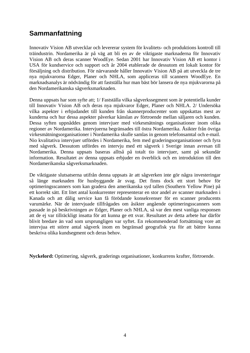# **Sammanfattning**

Innovativ Vision AB utvecklar och levererar system för kvalitets- och produktions kontroll till träindustrin. Nordamerika är på väg att bli en av de viktigaste marknaderna för Innovativ Vision AB och deras scanner WoodEye. Sedan 2001 har Innovativ Vision AB ett kontor i USA för kundservice och support och år 2004 etablerade de dessutom ett lokalt kontor för försäljning och distribution. För närvarande håller Innovativ Vision AB på att utveckla de tre nya mjukvarorna Edger, Planer och NHLA, som appliceras till scannern WoodEye. En marknadsanalys är nödvändig för att fastställa hur man bäst bör lansera de nya mjukvarorna på den Nordamerikanska sågverksmarknaden.

Denna uppsats har som syfte att; 1/ Fastställa vilka sågverkssegment som är potentiella kunder till Innovativ Vision AB och deras nya mjukvaror Edger, Planer och NHLA. 2/ Undersöka vilka aspekter i erbjudandet till kunden från skannerproducenter som uppskattas mest av kunderna och hur dessa aspekter påverkar känslan av förtroende mellan säljaren och kunden. Dessa syften uppnåddes genom intervjuer med virkesmätnings organisationer inom olika regioner av Nordamerika. Intervjuerna begränsades till östra Nordamerika. Åsikter från övriga virkesmätningsorganisationer i Nordamerika skulle samlas in genom telefonsamtal och e-mail. Nio kvalitativa intervjuer utfördes i Nordamerika, fem med graderingsorganisationer och fyra med sågverk. Dessutom utfördes en intervju med ett sågverk i Sverige innan avresan till Nordamerika. Denna uppsats baseras alltså på totalt tio intervjuer, samt på sekundär information. Resultatet av denna uppsats erbjuder en överblick och en introduktion till den Nordamerikanska sågverksmarknaden.

De viktigaste slutsatserna utifrån denna uppsats är att sågverken inte gör några investeringar så länge marknaden för husbyggande är svag. Det finns dock ett stort behov för optimeringsscanners som kan gradera den amerikanska syd tallen (Southern Yellow Pine) på ett korrekt sätt. Ett litet antal konkurrenter representerar en stor andel av scanner marknaden i Kanada och att dålig service kan få förödande konsekvenser för en scanner producents varumärke. När de intervjuade tillfrågades om åsikter angående optimeringsscanners som passade in på beskrivningen av Edger, Planer och NHLA, så var den mest vanliga responsen att de ej var tillräckligt insatta för att kunna ge ett svar. Resultatet av detta arbete har därför blivit bredare än vad som ursprungligen var syftet. En rekommenderad fortsättning vore att intervjua ett större antal sågverk inom en begränsad geografisk yta för att bättre kunna beskriva olika kundsegment och deras behov.

**Nyckelord:** Optimering, sågverk, graderings organisationer, konkurrens krafter, förtroende.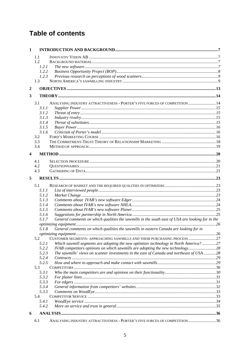# **Table of contents**

| $\mathbf{1}$            |                |                                                                                                  |  |
|-------------------------|----------------|--------------------------------------------------------------------------------------------------|--|
|                         | 1.1            |                                                                                                  |  |
|                         | 1.2            |                                                                                                  |  |
|                         | 1.2.1          |                                                                                                  |  |
|                         | 1.2.2          |                                                                                                  |  |
|                         | 1.2.3          |                                                                                                  |  |
|                         | 1.3            |                                                                                                  |  |
| $\boldsymbol{2}$        |                |                                                                                                  |  |
|                         |                |                                                                                                  |  |
| 3                       |                |                                                                                                  |  |
|                         | 3.1            | ANALYSING INDUSTRY ATTRACTIVENESS - PORTER'S FIVE FORCES OF COMPETITION  14                      |  |
|                         | 3.1.1          |                                                                                                  |  |
|                         | 3.1.2          |                                                                                                  |  |
|                         | 3.1.3          |                                                                                                  |  |
|                         | 3.1.4          |                                                                                                  |  |
|                         | 3.1.5          |                                                                                                  |  |
|                         | 3.1.6          |                                                                                                  |  |
|                         | 3.2            |                                                                                                  |  |
|                         | 3.3            |                                                                                                  |  |
|                         | 3.4            |                                                                                                  |  |
| $\overline{\mathbf{4}}$ |                |                                                                                                  |  |
|                         |                |                                                                                                  |  |
|                         | 4.1            |                                                                                                  |  |
|                         | 4.2<br>4.3     |                                                                                                  |  |
|                         |                |                                                                                                  |  |
| 5                       |                |                                                                                                  |  |
|                         | 5.1            |                                                                                                  |  |
|                         | 5.1.1          |                                                                                                  |  |
|                         | 5.1.2          |                                                                                                  |  |
|                         | 5.1.3          |                                                                                                  |  |
|                         | 5.1.4          |                                                                                                  |  |
|                         | 5.1.5          |                                                                                                  |  |
|                         | 5.1.6          |                                                                                                  |  |
|                         | 5.1.7          | General comments on which qualities the sawmills in the south east of USA are looking for in the |  |
|                         |                |                                                                                                  |  |
|                         | 5.1.8          | General comments on which qualities the sawmills in eastern Canada are looking for in            |  |
|                         |                |                                                                                                  |  |
|                         | 5.2            | CUSTOMER SEGMENTS- APPROACHING SAWMILLS AND THEIR PURCHASING PROCESS27                           |  |
|                         | 5.2.1          | Which sawmill segments are adopting the new optimizer technology in North America?27             |  |
|                         | 5.2.2<br>5.2.3 | IVAB competitors opinions on which sawmills are adopting the new technology 28                   |  |
|                         | 5.2.4          | The sawmills' views on scanner investments in the east of Canada and northeast of USA28          |  |
|                         | 5.2.5          |                                                                                                  |  |
|                         | 5.3            |                                                                                                  |  |
|                         | 5.3.1          |                                                                                                  |  |
|                         | 5.3.2          |                                                                                                  |  |
|                         | 5.3.3          |                                                                                                  |  |
|                         | 5.3.4          |                                                                                                  |  |
|                         | 5.3.5          |                                                                                                  |  |
|                         | 5.4            |                                                                                                  |  |
|                         | 5.4.1          |                                                                                                  |  |
|                         | 5.4.2          |                                                                                                  |  |
| 6                       |                |                                                                                                  |  |
|                         |                |                                                                                                  |  |
|                         | 6.1            | ANALYSING INDUSTRY ATTRACTIVENESS - PORTER'S FIVE FORCES OF COMPETITION 36                       |  |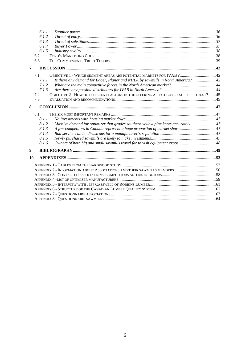|    | 6.1.1 |                                                                                       |  |
|----|-------|---------------------------------------------------------------------------------------|--|
|    | 6.1.2 |                                                                                       |  |
|    | 6.1.3 |                                                                                       |  |
|    | 6.1.4 |                                                                                       |  |
|    | 6.1.5 |                                                                                       |  |
|    | 6.2   |                                                                                       |  |
|    | 6.3   |                                                                                       |  |
| 7  |       |                                                                                       |  |
|    | 7.1   | OBJECTIVE 1 - WHICH SEGMENT AREAS ARE POTENTIAL MARKETS FOR IVAB ? 42                 |  |
|    | 7.1.1 | Is there any demand for Edger, Planer and NHLA by sawmills in North America?42        |  |
|    | 7.1.2 |                                                                                       |  |
|    | 7.1.3 |                                                                                       |  |
|    | 7.2   | OBJECTIVE 2 - HOW DO DIFFERENT FACTORS IN THE OFFERING AFFECT BUYER-SUPPLIER TRUST?45 |  |
|    | 7.3   |                                                                                       |  |
| 8  |       |                                                                                       |  |
|    | 8.1   |                                                                                       |  |
|    | 8.1.1 |                                                                                       |  |
|    | 8.1.2 | Massive demand for optimizer that grades southern yellow pine knots accurately 47     |  |
|    | 8.1.3 |                                                                                       |  |
|    | 8.1.4 |                                                                                       |  |
|    | 8.1.5 |                                                                                       |  |
|    | 8.1.6 |                                                                                       |  |
| 9  |       |                                                                                       |  |
| 10 |       |                                                                                       |  |
|    |       |                                                                                       |  |
|    |       |                                                                                       |  |
|    |       |                                                                                       |  |
|    |       |                                                                                       |  |
|    |       |                                                                                       |  |
|    |       |                                                                                       |  |
|    |       |                                                                                       |  |
|    |       |                                                                                       |  |
|    |       |                                                                                       |  |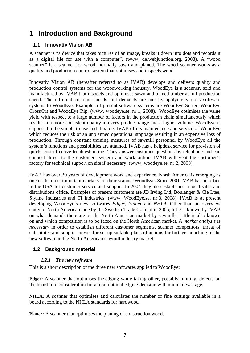# <span id="page-9-0"></span>**1 Introduction and Background**

## **1.1 Innovativ Vision AB**

A scanner is "a device that takes pictures of an image, breaks it down into dots and records it as a digital file for use with a computer". (www, de.webjunction.org, 2008). A "wood scanner" is a scanner for wood, normally sawn and planed. The wood scanner works as a quality and production control system that optimises and inspects wood.

Innovativ Vision AB (hereafter referred to as IVAB) develops and delivers quality and production control systems for the woodworking industry. WoodEye is a scanner, sold and manufactured by IVAB that inspects and optimises sawn and planed timber at full production speed. The different customer needs and demands are met by applying various software systems to WoodEye. Examples of present software systems are WoodEye Sorter, WoodEye CrossCut and WoodEye Rip. (www, woodeye.se, nr:1, 2008). WoodEye optimises the value yield with respect to a large number of factors in the production chain simultaneously which results in a more consistent quality in every product range and a higher volume. WoodEye is supposed to be simple to use and flexible. IVAB offers maintenance and service of WoodEye which reduces the risk of an unplanned operational stoppage resulting in an expensive loss of production. Through constant training measures of sawmill personnel by WoodEye all the system's functions and possibilities are attained. IVAB has a helpdesk service for provision of quick, cost effective troubleshooting. They answer customer questions by telephone and can connect direct to the customers system and work online. IVAB will visit the customer's factory for technical support on site if necessary. (www, woodeye.se, nr:2, 2008).

IVAB has over 20 years of development work and experience. North America is emerging as one of the most important markets for their scanner WoodEye. Since 2001 IVAB has an office in the USA for customer service and support. In 2004 they also established a local sales and distributions office. Examples of present customers are JD Irving Ltd, Boulanger & Cie Ltee, Styline Industries and TI Industries. (www, WoodEye.se, nr:3, 2008). IVAB is at present developing WoodEye's new softwares *Edger, Planer* and *NHLA.* Other than an overview study of North America made by the Swedish Trade Council in 2005, little is known by IVAB on what demands there are on the North American market by sawmills. Little is also known on and which competition is to be faced on the North American market. *A market analysis is necessary* in order to establish different customer segments, scanner competitors, threat of substitutes and supplier power for set up suitable plans of actions for further launching of the new software in the North American sawmill industry market.

## **1.2 Background material**

## *1.2.1 The new software*

This is a short description of the three new softwares applied to WoodEye:

**Edger:** A scanner that optimises the edging while taking other, possibly limiting, defects on the board into consideration for a total optimal edging decision with minimal wastage.

**NHLA:** A scanner that optimises and calculates the number of fine cuttings available in a board according to the NHLA standards for hardwood.

**Planer:** A scanner that optimises the planing of construction wood.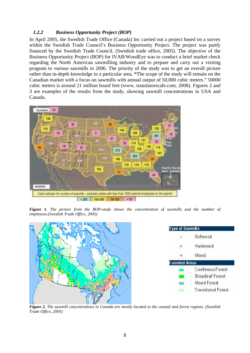#### <span id="page-10-0"></span>*1.2.2 Business Opportunity Project (BOP)*

In April 2005, the Swedish Trade Office (Canada) Inc carried out a project based on a survey within the Swedish Trade Council's Business Opportunity Project. The project was partly financed by the Swedish Trade Council. (Swedish trade office, 2005). The objective of the Business Opportunity Project (BOP) for IVAB/WoodEye was to conduct a brief market check regarding the North American sawmilling industry and to prepare and carry out a visiting program to various sawmills in 2006. The priority of the study was to get an overall picture rather than in-depth knowledge in a particular area. **"**The scope of the study will remain on the Canadian market with a focus on sawmills with annual output of 50,000 cubic meters." 50000 cubic meters is around 21 million board feet (www, translatorscafe.com, 2008). Figures 2 and 3 are examples of the results from the study, showing sawmill concentrations in USA and Canada.



*Figure 1. The picture from the BOP-study shows the concentration of sawmills and the number of employees.(Swedish Trade Office, 2005)* 



*Figure 2. The sawmill concentrations in Canada are mostly located to the coastal and forest regions. (Swedish Trade Office, 2005)*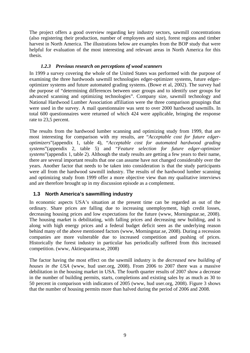<span id="page-11-0"></span>The project offers a good overview regarding key industry sectors, sawmill concentrations (also registering their production, number of employees and size), forest regions and timber harvest in North America. The illustrations below are examples from the BOP study that were helpful for evaluation of the most interesting and relevant areas in North America for this thesis.

### *1.2.3 Previous research on perceptions of wood scanners*

In 1999 a survey covering the whole of the United States was performed with the purpose of examining the three hardwoods sawmill technologies edger-optimizer systems, future edgeroptimizer systems and future automated grading systems. (Bowe et al, 2002). The survey had the purpose of "determining differences between user groups and to identify user groups for advanced scanning and optimizing technologies". Company size, sawmill technology and National Hardwood Lumber Association affiliation were the three comparison groupings that were used in the survey. A mail questionnaire was sent to over 2000 hardwood sawmills. In total 600 questionnaires were returned of which 424 were applicable, bringing the response rate to 23,5 percent.

The results from the hardwood lumber scanning and optimizing study from 1999, that are most interesting for comparison with my results, are "*Acceptable cost for future edgeroptimizers*"(appendix 1, table 4), "*Acceptable cost for automated hardwood grading systems*"(appendix 2, table 5) and "*Feature selection for future edger-optimizer systems*"(appendix 1, table 2). Although the study results are getting a few years to their name, there are several important results that one can assume have not changed considerably over the years. Another factor that needs to be taken into consideration is that the study participants were all from the hardwood sawmill industry. The results of the hardwood lumber scanning and optimizing study from 1999 offer a more objective view than my qualitative interviews and are therefore brought up in my discussion episode as a complement.

## **1.3 North America's sawmilling industry**

In economic aspects USA's situation at the present time can be regarded as out of the ordinary. Share prices are falling due to increasing unemployment, high credit losses, decreasing housing prices and low expectations for the future (www, Morningstar.se, 2008). The housing market is debilitating, with falling prices and decreasing new building, and is along with high energy prices and a federal budget deficit seen as the underlying reason behind many of the above mentioned factors (www, Morningstar.se, 2008). During a recession companies are more vulnerable due to increased competition and pushing of prices. Historically the forest industry in particular has periodically suffered from this increased competition. (www, Aktiespararna.se, 2008)

The factor having the most effect on the sawmill industry is the *decreased new building of houses in the USA* (www, hud user.org, 2008). From 2006 to 2007 there was a massive debilitation in the housing market in USA. The fourth quarter results of 2007 show a decrease in the number of building permits, starts, completions and existing sales by as much as 30 to 50 percent in comparison with indicators of 2005 (www, hud user.org, 2008). Figure 3 shows that the number of housing permits more than halved during the period of 2006 and 2008.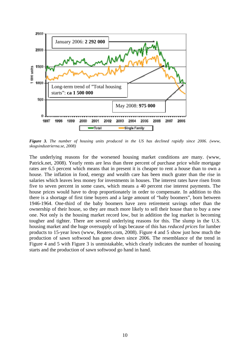

*Figure 3. The number of housing units produced in the US has declined rapidly since 2006. (www, skogsindustrierna.se, 2008)* 

The underlying reasons for the worsened housing market conditions are many. (www, Patrick.net, 2008). Yearly rents are less than three percent of purchase price while mortgage rates are 6.5 percent which means that in present it is cheaper to rent a house than to own a house. The inflation in food, energy and wealth care has been much grater than the rise in salaries which leaves less money for investments in houses. The interest rates have risen from five to seven percent in some cases, which means a 40 percent rise interest payments. The house prices would have to drop proportionately in order to compensate. In addition to this there is a shortage of first time buyers and a large amount of "baby boomers", born between 1946-1964. One-third of the baby boomers have zero retirement savings other than the ownership of their house, so they are much more likely to sell their house than to buy a new one. Not only is the housing market record low, but in addition the log market is becoming tougher and tighter. There are several underlying reasons for this. The slump in the U.S. housing market and the huge oversupply of logs because of this has *reduced prices* for lumber products to 15-year lows (www, Reuters.com, 2008). Figure 4 and 5 show just how much the production of sawn softwood has gone down since 2006. The resemblance of the trend in Figure 4 and 5 with Figure 3 is unmistakable, which clearly indicates the number of housing starts and the production of sawn softwood go hand in hand.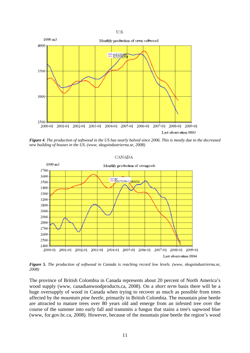

*Figure 4. The production of softwood in the US has nearly halved since 2006. This is mostly due to the decreased new building of houses in the US. (www, skogsindustrierna.se, 2008)* 

#### **CANADA**



*Figure 5. The production of softwood in Canada is reaching record low levels. (www, skogsindustrierna.se, 2008)* 

The province of British Colombia in Canada represents about 20 percent of North America's wood supply (www, canadianwoodproducts.ca, 2008). On a *short term* basis there will be a huge oversupply of wood in Canada when trying to recover as much as possible from trees affected by the *mountain pine beetle*, primarily in British Colombia. The mountain pine beetle are attracted to mature trees over 80 years old and emerge from an infested tree over the course of the summer into early fall and transmits a fungus that stains a tree's sapwood blue (www, for.gov.bc.ca, 2008). However, because of the mountain pine beetle the region's wood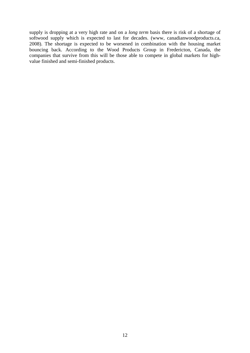supply is dropping at a very high rate and on a *long term* basis there is risk of a shortage of softwood supply which is expected to last for decades. (www, canadianwoodproducts.ca, 2008). The shortage is expected to be worsened in combination with the housing market bouncing back. According to the Wood Products Group in Fredericton, Canada, the companies that survive from this will be those able to compete in global markets for highvalue finished and semi-finished products.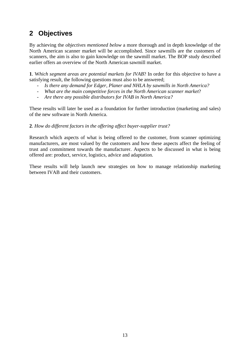# <span id="page-15-0"></span>**2 Objectives**

By achieving the *objectives mentioned below* a more thorough and in depth knowledge of the North American scanner market will be accomplished. Since sawmills are the customers of scanners, the aim is also to gain knowledge on the sawmill market. The BOP study described earlier offers an overview of the North American sawmill market.

**1**. W*hich segment areas are potential markets for IVAB*? In order for this objective to have a satisfying result, the following questions must also to be answered;

- *Is there any demand for Edger, Planer and NHLA by sawmills in North America?*
- *What are the main competitive forces in the North American scanner market*?
- *Are there any possible distributors for IVAB in North America?*

These results will later be used as a foundation for further introduction (marketing and sales) of the new software in North America.

#### **2**. *How do different factors in the offering affect buyer-supplier trust?*

Research which aspects of what is being offered to the customer, from scanner optimizing manufacturers, are most valued by the customers and how these aspects affect the feeling of trust and commitment towards the manufacturer. Aspects to be discussed in what is being offered are: product, service, logistics, advice and adaptation.

These results will help launch new strategies on how to manage relationship marketing between IVAB and their customers.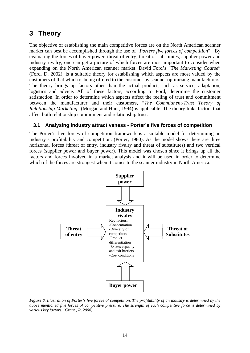# <span id="page-16-0"></span>**3 Theory**

The objective of establishing the main competitive forces are on the North American scanner market can best be accomplished through the use of "*Porters five forces of competition*". By evaluating the forces of buyer power, threat of entry, threat of substitutes, supplier power and industry rivalry, one can get a picture of which forces are most important to consider when expanding on the North American scanner market. David Ford's "T*he Marketing Course*" (Ford. D, 2002), is a suitable theory for establishing which aspects are most valued by the customers of that which is being offered to the customer by scanner optimizing manufacturers. The theory brings up factors other than the actual product, such as service, adaptation, logistics and advice. All of these factors, according to Ford, determine the customer satisfaction. In order to determine which aspects affect the feeling of trust and commitment between the manufacturer and their customers, "*The Commitment-Trust Theory of Relationship Marketing*" (Morgan and Hunt, 1994) is applicable. The theory links factors that affect both relationship commitment and relationship trust.

### **3.1 Analysing industry attractiveness - Porter's five forces of competition**

The Porter's five forces of competition framework is a suitable model for determining an industry's profitability and competition. (Porter, 1980). As the model shows there are three horizontal forces (threat of entry, industry rivalry and threat of substitutes) and two vertical forces (supplier power and buyer power). This model was chosen since it brings up all the factors and forces involved in a market analysis and it will be used in order to determine which of the forces are strongest when it comes to the scanner industry in North America.



*Figure 6. Illustration of Porter's five forces of competition. The profitability of an industry is determined by the above mentioned five forces of competitive pressure. The strength of each competitive force is determined by various key factors. (Grant., R, 2008).*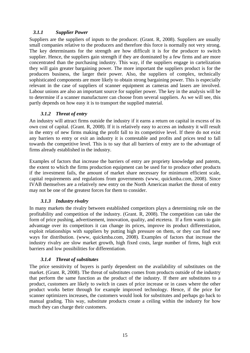#### <span id="page-17-0"></span>*3.1.1 Supplier Power*

Suppliers are the suppliers of inputs to the producer. (Grant. R, 2008). Suppliers are usually small companies relative to the producers and therefore this force is normally not very strong. The key determinants for the strength are how difficult it is for the producer to switch supplier. Hence, the suppliers gain strength if they are dominated by a few firms and are more concentrated than the purchasing industry. This way, if the suppliers engage in cartelization they will gain greater bargaining power. The more important the suppliers product is for the producers business, the larger their power. Also, the suppliers of complex, technically sophisticated components are more likely to obtain strong bargaining power. This is especially relevant in the case of suppliers of scanner equipment as cameras and lasers are involved. Labour unions are also an important source for supplier power. The key in the analysis will be to determine if a scanner manufacturer can choose from several suppliers. As we will see, this partly depends on how easy it is to transport the supplied material.

### *3.1.2 Threat of entry*

An industry will attract firms outside the industry if it earns a return on capital in excess of its own cost of capital. (Grant. R, 2008). If it is relatively easy to access an industry it will result in the entry of new firms making the profit fall to its competitive level. If there do not exist any barriers to entry or exit an industry it is contestable and profits and prices tend to fall towards the competitive level. This is to say that all barriers of entry are to the advantage of firms already established in the industry.

Examples of factors that increase the barriers of entry are propriety knowledge and patents, the extent to which the firms production equipment can be used for to produce other products if the investment fails, the amount of market share necessary for minimum efficient scale, capital requirements and regulations from governments (www, quickmba.com, 2008). Since IVAB themselves are a relatively new entry on the North American market the threat of entry may not be one of the greatest forces for them to consider.

#### *3.1.3 Industry rivalry*

In many markets the rivalry between established competitors plays a determining role on the profitability and competition of the industry. (Grant. R, 2008). The competition can take the form of price pushing, advertisement, innovation, quality, and etcetera. If a firm wants to gain advantage over its competitors it can change its prices, improve its product differentiation, exploit relationships with suppliers by putting high pressure on them, or they can find new ways for distribution. (www, quickmba.com, 2008). Examples of factors that increase the industry rivalry are slow market growth, high fixed costs, large number of firms, high exit barriers and low possibilities for differentiation.

#### *3.1.4 Threat of substitutes*

The price sensitivity of buyers is partly dependent on the availability of substitutes on the market. (Grant. R, 2008). The threat of substitutes comes from products outside of the industry that perform the same function as the product of the industry. If there are substitutes to a product, customers are likely to switch in cases of price increase or in cases where the other product works better through for example improved technology. Hence, if the price for scanner optimizers increases, the customers would look for substitutes and perhaps go back to manual grading. This way, substitute products create a ceiling within the industry for how much they can charge their customers.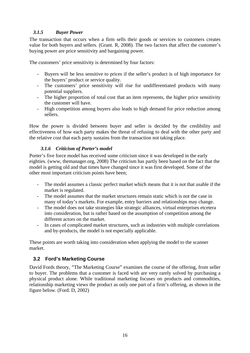#### <span id="page-18-0"></span>*3.1.5 Buyer Power*

The transaction that occurs when a firm sells their goods or services to customers creates value for both buyers and sellers. (Grant. R, 2008). The two factors that affect the customer's buying power are price sensitivity and bargaining power.

The customers' price sensitivity is determined by four factors:

- Buyers will be less sensitive to prices if the seller's product is of high importance for the buyers' product or service quality.
- The customers' price sensitivity will rise for undifferentiated products with many potential suppliers.
- The higher proportion of total cost that an item represents, the higher price sensitivity the customer will have.
- High competition among buyers also leads to high demand for price reduction among sellers.

How the power is divided between buyer and seller is decided by the credibility and effectiveness of how each party makes the threat of refusing to deal with the other party and the relative cost that each party sustains from the transaction not taking place.

## *3.1.6 Criticism of Porter's model*

Porter's five force model has received some criticism since it was developed in the early eighties. (www, themanager.org, 2008) The criticism has partly been based on the fact that the model is getting old and that times have changed since it was first developed. Some of the other most important criticism points have been;

- The model assumes a classic perfect market which means that it is not that usable if the market is regulated.
- The model assumes that the market structures remain static which is not the case in many of today's markets. For example, entry barriers and relationships may change.
- The model does not take strategies like strategic alliances, virtual enterprises etcetera into consideration, but is rather based on the assumption of competition among the different actors on the market.
- In cases of complicated market structures, such as industries with multiple correlations and by-products, the model is not especially applicable.

These points are worth taking into consideration when applying the model to the scanner market.

# **3.2 Ford's Marketing Course**

David Fords theory, "The Marketing Course" examines the course of the offering, from seller to buyer. The problems that a customer is faced with are very rarely solved by purchasing a physical product alone. While traditional marketing focuses on products and commodities, relationship marketing views the product as only one part of a firm's offering, as shown in the figure below. (Ford. D, 2002)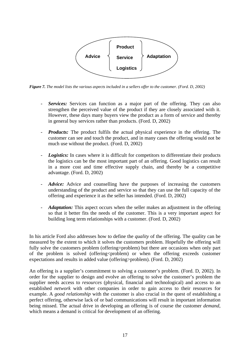

*Figure 7. The model lists the various aspects included in a sellers offer to the customer. (Ford. D, 2002)* 

- Services: Services can function as a major part of the offering. They can also strengthen the perceived value of the product if they are closely associated with it. However, these days many buyers view the product as a form of service and thereby in general buy services rather than products. (Ford. D, 2002)
- *Products:* The product fulfils the actual physical experience in the offering. The customer can see and touch the product, and in many cases the offering would not be much use without the product. (Ford. D, 2002)
- Logistics: In cases where it is difficult for competitors to differentiate their products the logistics can be the most important part of an offering. Good logistics can result in a more cost and time effective supply chain, and thereby be a competitive advantage. (Ford. D, 2002)
- *Advice:* Advice and counselling have the purposes of increasing the customers understanding of the product and service so that they can use the full capacity of the offering and experience it as the seller has intended. (Ford. D, 2002)
- Adaptation: This aspect occurs when the seller makes an adjustment in the offering so that it better fits the needs of the customer. This is a very important aspect for building long term relationships with a customer. (Ford. D, 2002)

In his article Ford also addresses how to define the *quality* of the offering. The quality can be measured by the extent to which it solves the customers problem. Hopefully the offering will fully solve the customers problem (offering=problem) but there are occasions when only part of the problem is solved (offering  $\epsilon$  problem) or when the offering exceeds customer expectations and results in added value (offering>problem). (Ford. D, 2002)

An offering is a supplier's commitment to solving a customer's problem. (Ford. D, 2002). In order for the supplier to design and evolve an offering to solve the customer's problem the supplier needs access to *resources* (physical, financial and technological) and access to an established *network* with other companies in order to gain access to their resources for example. A *good relationship* with the customer is also crucial in the quest of establishing a perfect offering, otherwise lack of or bad communications will result in important information being missed. The actual drive in developing an offering is of course the customer *demand*, which means a demand is critical for development of an offering.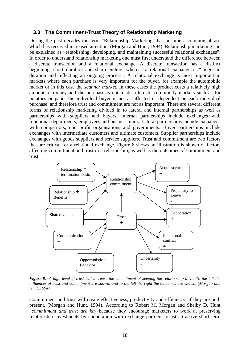#### <span id="page-20-0"></span>**3.3 The Commitment-Trust Theory of Relationship Marketing**

During the past decades the term "Relationship Marketing" has become a common phrase which has received increased attention. (Morgan and Hunt, 1994). Relationship marketing can be explained as "establishing, developing, and maintaining successful relational exchanges". In order to understand relationship marketing one must first understand the difference between a discrete transaction and a relational exchange. A discrete transaction has a distinct beginning, short duration and sharp ending, whereas a relational exchange is "longer in duration and reflecting an ongoing process". A relational exchange is most important in markets where each purchase is very important for the buyer, for example the automobile market or in this case the *scanner market*. In these cases the product costs a relatively high amount of money and the purchase is not made often. In commodity markets such as for potatoes or paper the individual buyer is not as affected or dependent on each individual purchase, and therefore trust and commitment are not as important. There are several different forms of relationship marketing divided in to lateral and internal partnerships as well as partnerships with suppliers and buyers. Internal partnerships include exchanges with functional departments, employees and business units. Lateral partnerships include exchanges with competitors, non profit organisations and governments. Buyer partnerships include exchanges with intermediate customers and ultimate customers. Supplier partnerships include exchanges with goods suppliers and service suppliers. Trust and commitment are two factors that are critical for a relational exchange. Figure 8 shows an illustration is shown of factors affecting commitment and trust in a relationship, as well as the outcomes of commitment and trust.



*Figure 8. A high level of trust will increase the commitment of keeping the relationship alive. To the left the influences of trust and commitment are shown, and to the left the right the outcomes are shown. (Morgan and Hunt, 1994).* 

Commitment and trust will create effectiveness, productivity and efficiency, if they are both present. (Morgan and Hunt, 1994). According to Robert M. Morgan and Shelby D. Hunt "*commitment and trust are key* because they encourage marketers to work at preserving relationship investments by cooperation with exchange partners, resist attractive short term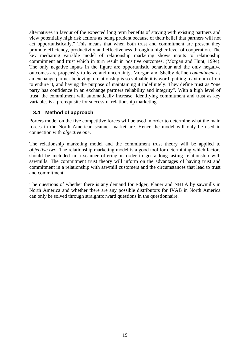<span id="page-21-0"></span>alternatives in favour of the expected long term benefits of staying with existing partners and view potentially high risk actions as being prudent because of their belief that partners will not act opportunistically." This means that when both trust and commitment are present they promote efficiency, productivity and effectiveness through a higher level of cooperation. The key mediating variable model of relationship marketing shows inputs to relationship commitment and trust which in turn result in positive outcomes. (Morgan and Hunt, 1994). The only negative inputs in the figure are opportunistic behaviour and the only negative outcomes are propensity to leave and uncertainty. Morgan and Shelby define *commitment* as an exchange partner believing a relationship is so valuable it is worth putting maximum effort to endure it, and having the purpose of maintaining it indefinitely. They define trust as "one party has confidence in an exchange partners reliability and integrity". With a high level of trust, the commitment will automatically increase. Identifying commitment and trust as key variables is a prerequisite for successful relationship marketing.

### **3.4 Method of approach**

Porters model on the five competitive forces will be used in order to determine what the main forces in the North American scanner market are. Hence the model will only be used in connection with *objective one*.

The relationship marketing model and the commitment trust theory will be applied to *objective two*. The relationship marketing model is a good tool for determining which factors should be included in a scanner offering in order to get a long-lasting relationship with sawmills. The commitment trust theory will inform on the advantages of having trust and commitment in a relationship with sawmill customers and the circumstances that lead to trust and commitment.

The questions of whether there is any demand for Edger, Planer and NHLA by sawmills in North America and whether there are any possible distributors for IVAB in North America can only be solved through straightforward questions in the questionnaire.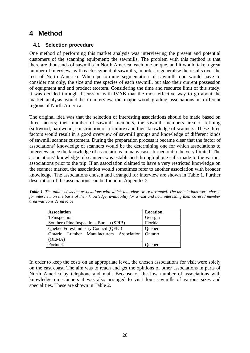# <span id="page-22-0"></span>**4 Method**

### **4.1 Selection procedure**

One method of performing this market analysis was interviewing the present and potential customers of the scanning equipment; the sawmills. The problem with this method is that there are thousands of sawmills in North America, each one unique, and it would take a great number of interviews with each segment of sawmills, in order to generalise the results over the rest of North America. When performing segmentation of sawmills one would have to consider not only, the size and tree species of each sawmill, but also their current possession of equipment and end product etcetera. Considering the time and resource limit of this study, it was decided through discussion with IVAB that the most effective way to go about the market analysis would be to interview the major wood grading associations in different regions of North America.

The original idea was that the selection of interesting associations should be made based on three factors; their number of sawmill members, the sawmill members area of refining (softwood, hardwood, construction or furniture) and their knowledge of scanners. These three factors would result in a good overview of sawmill groups and knowledge of different kinds of sawmill scanner customers. During the preparation process it became clear that the factor of associations' knowledge of scanners would be the determining one for which associations to interview since the knowledge of associations in many cases turned out to be very limited. The associations' knowledge of scanners was established through phone calls made to the various associations prior to the trip. If an association claimed to have a very restricted knowledge on the scanner market, the association would sometimes refer to another association with broader knowledge. The associations chosen and arranged for interview are shown in Table 1. Further description of the associations can be found in Appendix 2.

*Table 1. The table shows the associations with which interviews were arranged. The associations were chosen for interview on the basis of their knowledge, availability for a visit and how interesting their covered member area was considered to be* 

| <b>Association</b>                       | Location |  |
|------------------------------------------|----------|--|
| TPinspection                             | Georgia  |  |
| Southern Pine Inspections Bureau (SPIB)  | Florida  |  |
| Quebec Forest Industry Council (QFIC)    | Quebec   |  |
| Ontario Lumber Manufacturers Association | Ontario  |  |
| (OLMA)                                   |          |  |
| Forintek                                 | Quebec   |  |

In order to keep the costs on an appropriate level, the chosen associations for visit were solely on the east coast. The aim was to reach and get the opinions of other associations in parts of North America by telephone and mail. Because of the low number of associations with knowledge on scanners it was also arranged to visit four sawmills of various sizes and specialities. These are shown in Table 2.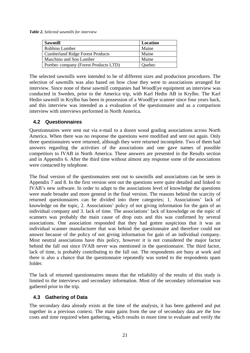<span id="page-23-0"></span>*Table 2. Selected sawmills for interview* 

| <b>Sawmill</b>                          | Location |
|-----------------------------------------|----------|
| Robbins Lumber                          | Maine    |
| <b>Cumberland Ridge Forest Products</b> | Maine    |
| Maschino and Son Lumber                 | Maine    |
| Portbec company (Forest Products LTD)   | Quebec   |

The selected sawmills were intended to be of different sizes and production procedures. The selection of sawmills was also based on how close they were to associations arranged for interview. Since none of these sawmill companies had WoodEye equipment an interview was conducted in Sweden, prior to the America trip, with Karl Hedin AB in Krylbo. The Karl Hedin sawmill in Krylbo has been in possession of a WoodEye scanner since four years back, and this interview was intended as a evaluation of the questionnaire and as a comparison interview with interviews performed in North America.

### **4.2 Questionnaires**

Questionnaires were sent out via e-mail to a dozen wood grading associations across North America. When there was no response the questions were modified and sent out again. Only three questionnaires were returned, although they were returned incomplete. Two of them had answers regarding the activities of the associations and one gave names of possible competitors to IVAB in North America. These answers are presented in the Results section and in Appendix 6. After the third time without almost any response some of the associations were contacted by telephone.

The final version of the questionnaires sent out to sawmills and associations can be seen in Appendix 7 and 8. In the first version sent out the questions were quite detailed and linked to IVAB's new software. In order to adapt to the associations level of knowledge the questions were made broader and more general in the final version. The reasons behind the scarcity of returned questionnaires can be divided into three categories; 1. Associations' lack of knowledge on the topic, 2. Associations' policy of not giving information for the gain of an individual company and 3. lack of time. The associations' lack of knowledge on the topic of scanners was probably the main cause of drop outs and this was confirmed by several associations. One association responded that they had gotten suspicious that it was an individual scanner manufacturer that was behind the questionnaire and therefore could not answer because of the policy of not giving information for gain of an individual company. Most neutral associations have this policy, however it is not considered the major factor behind the fall out since IVAB never was mentioned in the questionnaire. The third factor, lack of time, is probably contributing to the fall out. The respondents are busy at work and there is also a chance that the questionnaire repeatedly was sorted to the respondents spam folder.

The lack of returned questionnaires means that the reliability of the results of this study is limited to the interviews and secondary information. Most of the secondary information was gathered prior to the trip.

## **4.3 Gathering of Data**

The secondary data already exists at the time of the analysis, it has been gathered and put together in a previous context. The main gains from the use of secondary data are the low costs and time required when gathering, which results in more time to evaluate and verify the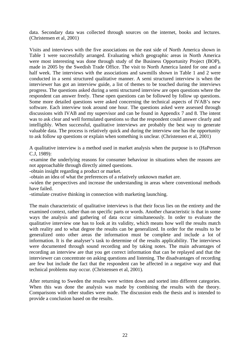data. Secondary data was collected through sources on the internet, books and lectures. (Christensen et al, 2001)

Visits and interviews with the five associations on the east side of North America shown in Table 1 were successfully arranged. Evaluating which geographic areas in North America were most interesting was done through study of the Business Opportunity Project (BOP), made in 2005 by the Swedish Trade Office. The visit to North America lasted for one and a half week. The interviews with the associations and sawmills shown in Table 1 and 2 were conducted in a semi structured qualitative manner. A semi structured interview is when the interviewer has got an interview guide, a list of themes to be touched during the interviews progress. The questions asked during a semi structured interview are open questions where the respondent can answer freely. These open questions can be followed by follow up questions. Some more detailed questions were asked concerning the technical aspects of IVAB's new software. Each interview took around one hour. The questions asked were assessed through discussions with IVAB and my supervisor and can be found in Appendix 7 and 8. The intent was to ask clear and well formulated questions so that the respondent could answer clearly and intelligibly. When successful, qualitative interviews are probably the best way to generate valuable data. The process is relatively quick and during the interview one has the opportunity to ask follow up questions or explain when something is unclear. (Christensen et al, 2001)

A qualitative interview is a method used in market analysis when the purpose is to (HaPerson C.J, 1989):

-examine the underlying reasons for consumer behaviour in situations when the reasons are not approachable through directly aimed questions.

-obtain insight regarding a product or market.

-obtain an idea of what the preferences of a relatively unknown market are.

-widen the perspectives and increase the understanding in areas where conventional methods have failed.

-stimulate creative thinking in connection with marketing launching.

The main characteristic of qualitative interviews is that their focus lies on the entirety and the examined context, rather than on specific parts or words. Another characteristic is that in some ways the analysis and gathering of data occur simultaneously. In order to evaluate the qualitative interview one has to look at its validity, which means how well the results match with reality and to what degree the results can be generalized. In order for the results to be generalized onto other areas the information must be complete and include a lot of information. It is the analyser's task to determine of the results applicability. The interviews were documented through sound recording and by taking notes. The main advantages of recording an interview are that you get correct information that can be replayed and that the interviewer can concentrate on asking questions and listening. The disadvantages of recording are few but include the fact that the respondent can be affected in a negative way and that technical problems may occur. (Christensen et al, 2001)*.* 

After returning to Sweden the results were written down and sorted into different categories. When this was done the analysis was made by combining the results with the theory. Comparisons with other studies were made. The discussion ends the thesis and is intended to provide a conclusion based on the results.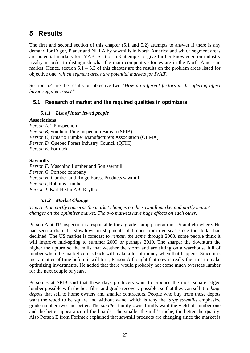# <span id="page-25-0"></span>**5 Results**

The first and second section of this chapter (5.1 and 5.2) attempts to answer if there is any demand for Edger, Planer and NHLA by sawmills in North America and which segment areas are potential markets for IVAB. Section 5.3 attempts to give further knowledge on industry rivalry in order to distinguish what the main competitive forces are in the North American market. Hence, section  $5.1 - 5.3$  of this chapter are the results on the problem areas listed for objective one; w*hich segment areas are potential markets for IVAB*?

Section 5.4 are the results on objective two "*How do different factors in the offering affect buyer-supplier trust?"* 

## **5.1 Research of market and the required qualities in optimizers**

### *5.1.1 List of interviewed people*

#### **Associations**

*Person A*, TPinspection *Person B*, Southern Pine Inspection Bureau (SPIB) *Person C*, Ontario Lumber Manufacturers Association (OLMA) *Person D*, Quebec Forest Industry Council (QFIC) *Person E*, Forintek

#### **Sawmills**

*Person F*, Maschino Lumber and Son sawmill *Person G*, Portbec company *Person H*, Cumberland Ridge Forest Products sawmill *Person I*, Robbins Lumber *Person J*, Karl Hedin AB, Krylbo

#### *5.1.2 Market Change*

*This section partly concerns the market changes on the sawmill market and partly market changes on the optimizer market. The two markets have huge effects on each other.* 

Person A at TP inspection is responsible for a grade stamp program in US and elsewhere. He had seen a dramatic slowdown in shipments of timber from overseas since the dollar had declined. The US market is forecast to *remain the same* through 2008, some people think it will improve mid-spring to summer 2009 or perhaps 2010. The sharper the downturn the higher the upturn so the mills that weather the storm and are sitting on a warehouse full of lumber when the market comes back will make a lot of money when that happens. Since it is just a matter of time before it will turn, Person A thought that now is really the time to make optimizing investments. He added that there would probably not come much overseas lumber for the next couple of years.

Person B at SPIB said that these days producers want to produce the most square edged lumber possible with the best fibre and grade recovery possible, so that they can sell it to *huge depots* that sell to home owners and smaller contractors. People who buy from those depots want the wood to be square and without wane, which is why the *large sawmills* emphasize grade number two and better. The *smaller* family-owned mills want the yield of number one and the better appearance of the boards. The smaller the mill's niche, the better the quality. Also Person E from Forintek explained that sawmill products are changing since the market is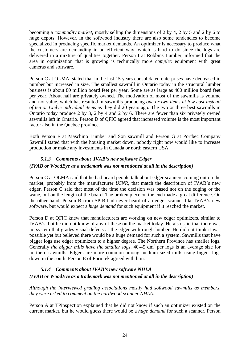<span id="page-26-0"></span>becoming a *commodity market*, mostly selling the dimensions of 2 by 4, 2 by 5 and 2 by 6 to huge depots. However, in the softwood industry there are also some tendencies to become specialized in producing specific market demands. An optimizer is necessary to produce what the customers are demanding in an efficient way, which is hard to do since the logs are delivered in a mixture of qualities together. Person I at Robbins Lumber, informed that the area in optimization that is growing is technically more *complex* equipment with great cameras and software.

Person C at OLMA, stated that in the last 15 years consolidated enterprises have decreased in number but increased in size. The smallest sawmill in Ontario today in the structural lumber business is about 80 million board feet per year. Some are as large as 400 million board feet per year. About half are privately owned. The motivation of most of the sawmills is volume and not value, which has resulted in sawmills producing *one or two items at low cost instead of ten or twelve individual items* as they did 20 years ago. The two or three best sawmills in Ontario today produce 2 by 3, 2 by 4 and 2 by 6. There are fewer than six privately owned sawmills left in Ontario. Person D of QFIC agreed that increased volume is the most important factor also in the Quebec province.

Both Person F at Maschino Lumber and Son sawmill and Person G at Portbec Company Sawmill stated that with the housing market down, nobody right now would like to increase production or make any investments in Canada or north eastern USA.

## *5.1.3 Comments about IVAB's new software Edger (IVAB or WoodEye as a trademark was not mentioned at all in the description)*

Person C at OLMA said that he had heard people talk about edger scanners coming out on the market, probably from the manufacturer *USNR*, that match the description of IVAB's new edger. Person C said that most of the time the decision was based not on the edging or the wane, but on the length of the board. The broken piece on the end made a great difference. On the other hand, Person B from SPIB had never heard of an edger scanner like IVAB's new software, but would expect a *huge demand* for such equipment if it reached the market.

Person D at QFIC knew that manufacturers are working on new edger optimizers, similar to IVAB's, but he did not know of any of these on the market today. He also said that there was no system that grades visual defects at the edger with rough lumber. He did not think it was possible yet but believed there would be a huge demand for such a system. Sawmills that have bigger logs use edger optimizers to a higher degree. The Northern Province has smaller logs. Generally *the bigger mills have the smaller logs*. 40-45 dm<sup>3</sup> per logs is an average size for northern sawmills. Edgers are more common among medium sized mills using bigger logs down in the south. Person E of Forintek agreed with him.

## *5.1.4 Comments about IVAB's new software NHLA (IVAB or WoodEye as a trademark was not mentioned at all in the description)*

*Although the interviewed grading associations mostly had softwood sawmills as members, they were asked to comment on the hardwood scanner NHLA.* 

Person A at TPinspection explained that he did not know if such an optimizer existed on the current market, but he would guess there would be a *huge demand* for such a scanner. Person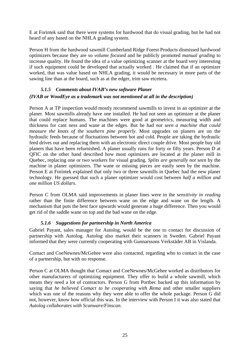<span id="page-27-0"></span>E at Forintek said that there were systems for hardwood that do visual grading, but he had not heard of any based on the NHLA grading system.

Person H from the hardwood sawmill Cumberland Ridge Forest Products dismissed hardwood optimizers because they are so *volume focused* and he publicly promoted *manual grading* to increase quality. He found the idea of a value optimizing scanner at the board very interesting if such equipment could be developed that actually worked . He claimed that if an optimizer worked, that was value based on NHLA grading, it would be necessary in more parts of the sawing line than at the board, such as at the edger, trim saw etcetera.

### *5.1.5 Comments about IVAB's new software Planer (IVAB or WoodEye as a trademark was not mentioned at all in the description)*

Person A at TP inspection would mostly recommend sawmills to invest in an optimizer at the planer. Most sawmills already have one installed. He had not seen an optimizer at the planer that could replace humans. The machines were good at geometrics, measuring width and thickness for cant ness and wane at the edges. But he had *not seen a machine that could measure the knots of the southern pine properly*. Most upgrades on planers are on the hydraulic feeds because of fluctuations between hot and cold. People are taking the hydraulic feed drives out and replacing them with an electronic direct couple drive. Most people buy old planers that have been refurnished. A planer usually runs for forty or fifty years. Person D at QFIC on the other hand described how most optimizers are located at the planer mill in Quebec, replacing one or two workers for visual grading. *Splits are generally not seen* by the machine in planer optimizers. The wane or missing pieces are easily seen by the machine. Person E at Forintek explained that only two or three sawmills in Quebec had the new planer technology. He guessed that such a planer optimizer would cost between *half a million and one million US dollars*.

Person C from OLMA said improvements in planer lines were in the *sensitivity in reading* rather than the finite difference between wane on the edge and wane on the length. A mechanism that puts the best face upwards would generate a huge difference. Then you would get rid of the saddle wane on top and the bad wane on the edge.

#### *5.1.6 Suggestions for partnership in North America*

Gabriel Payant, sales manager for Autolog, would be the one to contact for discussion of partnership with Autolog. Autolog also market their scanners in Sweden. Gabriel Payant informed that they were currently cooperating with Gunnarssons Verkstäder AB in Vislanda.

Comact and CoeNewnes/McGehee were also contacted, regarding who to contact in the case of a partnership, but with no response.

Person C at OLMA thought that Comact and CoeNewnes/McGehee worked as distributors for other manufacturers of optimizing equipment. They offer to build a whole sawmill, which means they need a lot of contractors. Person G from Portbec backed up this information by saying that *he believed Comact to be cooperating with Rema* and other smaller suppliers which was one of the reasons why they were able to offer the whole package. Person G did not, however, know how official this was. In the interview with Person I it was also stated that *Autolog collaborates with Scanware/Finscan*.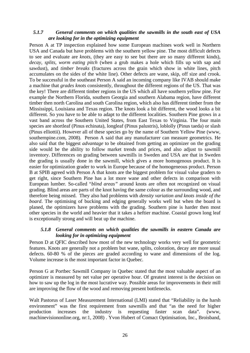#### <span id="page-28-0"></span>*5.1.7 General comments on which qualities the sawmills in the south east of USA are looking for in the optimizing equipment*

Person A at TP inspection explained how some European machines work well in Northern USA and Canada but have problems with the southern yellow pine. The most difficult defects to see and evaluate are *knots*, (they are easy to see but there are so many different kinds), *decay, splits, worm eating pitch* (when a grub makes a hole which fills up with sap and sawdust), and *timber breaks* (fractures across the grain which show in white lines, pitch accumulates on the sides of the white line). Other defects are wane, skip, off size and crook. To be successful in the southeast Person A said an incoming company like IVAB should make a machine that *grades knots* consistently, throughout the different regions of the US. That was the key! There are different timber regions in the US which all have southern yellow pine. For example the Northern Florida, southern Georgia and southern Alabama region, have different timber then north Carolina and south Carolina region, which also has different timber from the Mississippi, Louisiana and Texas region. The knots look a bit different, the wood looks a bit different. So you have to be able to adapt to the different localities. Southern Pine grows in a vast band across the Southern United States, from East Texas to Virginia. The four main species are shortleaf (Pinus echinata), longleaf (Pinus palustris), loblolly (Pinus taeda) or slash (Pinus elliottii). However all of these species go by the name of Southern Yellow Pine (www, southernpine.com, 2008). Person A said that any manufacturer can measure geometrics. He also said that the biggest *advantage* to be obtained from getting an optimizer on the grading side would be the ability to follow market trends and prices, and also adjust to sawmill inventory. Differences on grading between sawmills in Sweden and USA are that in Sweden the grading is usually done in the sawmill, which gives a more homogenous product. It is easier for optimization grader to work in Europe because of the homogeneous product. Person B at SPIB agreed with Person A that knots are the biggest problem for visual value graders to get right, since Southern Pine has a lot more wane and other defects in comparison with European lumber. So-called "*blind areas"* around knots are often not recognized on visual grading. Blind areas are parts of the knot having the same colour as the surrounding wood, and therefore being missed. They also had problems with *density variation and knots inside of the board*. The optimising of bucking and edging generally works well but when the board is planed, the optimizers have problems with the grading. Southern pine is harder then most other species in the world and heavier that it takes a heftier machine. Coastal grown long leaf is exceptionally strong and will beat up the machine.

#### *5.1.8 General comments on which qualities the sawmills in eastern Canada are looking for in optimizing equipment*

Person D at QFIC described how most of the new technology works very well for geometric features. Knots are generally not a problem but wane, splits, coloration, decay are more usual defects. 60-80 % of the pieces are graded according to wane and dimensions of the log. Volume increase is the most important factor in Quebec.

Person G at Portbec Sawmill Company in Quebec stated that the most valuable aspect of an optimizer is measured by net value per operative hour. Of greatest interest is the decision on how to saw up the log in the most lucrative way. Possible areas for improvements in their mill are improving the flow of the wood and removing present bottlenecks.

Walt Pastorus of Laser Measurement International (LMI) stated that "Reliability in the harsh environment" was the first requirement from sawmills and that "as the need for higher production increases the industry is requesting faster scan data". (www, machinevisiononline.org, nr:1, 2008) . Yvon Hubert of Comact Optimisation, Inc., Broisband,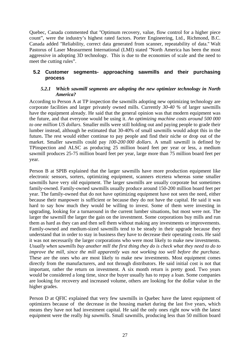<span id="page-29-0"></span>Quebec, Canada commented that ''Optimum recovery, value, flow control for a higher piece count", were the industry's highest rated factors. Porter Engineering, Ltd., Richmond, B.C. Canada added ''Reliability, correct data generated from scanner, repeatability of data.'' Walt Pastorus of Laser Measurment International (LMI) stated ''North America has been the most aggressive in adopting 3D technology. This is due to the economies of scale and the need to meet the cutting rules".

#### **5.2 Customer segments- approaching sawmills and their purchasing process**

#### *5.2.1 Which sawmill segments are adopting the new optimizer technology in North America?*

According to Person A at TP inspection the sawmills adopting new optimizing technology are corporate facilities and larger privately owned mills. Currently *30-40 %* of larger sawmills have the equipment already. He said that the general opinion was that modern equipment was the future, and that everyone would be using it. *An optimizing machine costs around 500 000 to one million US dollars.* Smaller mills were still holding out and paying people to grade their lumber instead, although he estimated that 30-40% of small sawmills would adopt this in the future**.** The rest would either continue to pay people and find their niche or drop out of the market. Smaller sawmills could pay *100-200 000 dollars*. A small sawmill is defined by TPinspection and ALSC as producing 25 million board feet per year or less, a medium sawmill produces 25-75 million board feet per year, large more than 75 million board feet per year.

Person B at SPIB explained that the larger sawmills have more production equipment like electronic sensors, sorters, optimizing equipment, scanners etcetera whereas some smaller sawmills have very old equipment. The larger sawmills are usually corporate but sometimes family-owned. Family-owned sawmills usually produce around 150-200 million board feet per year. The family-owned that do not have optimizing equipment have not seen the need, either because their manpower is sufficient or because they do not have the capital. He said it was hard to say how much they would be willing to invest. Some of them were investing in upgrading, looking for a turnaround in the current lumber situations, but most were not. The larger the sawmill the larger the gain on the investment. Some corporations buy mills and run them as hard as they can and then sell them without making any investments or improvements. Family-owned and medium-sized sawmills tend to be steady in their upgrade because they understand that in order to stay in business they have to decrease their operating costs. He said it was not necessarily the larger corporations who were most likely to make new investments. *Usually when sawmills buy another mill the first thing they do is check what they need to do to improve the mill, since the mill apparently was not working too well before the purchase.* These are the ones who are most likely to make new investments. Most equipment comes directly from the manufacturers, and not through distributors. He said initial cost is not that important, rather the return on investment. A six month return is pretty good. Two years would be considered a long time, since the buyer usually has to repay a loan. Some companies are looking for recovery and increased volume, others are looking for the dollar value in the higher grades.

Person D at QFIC explained that very few sawmills in Quebec have the latest equipment of optimizers because of the decrease in the housing market during the last five years, which means they have not had investment capital. He said the only ones right now with the latest equipment were the really *big sawmills*. Small sawmills, producing less than 50 million board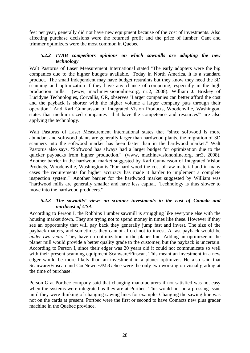<span id="page-30-0"></span>feet per year, generally did not have new equipment because of the cost of investments. Also affecting purchase decisions were the returned profit and the price of lumber. Cant and trimmer optimizers were the most common in Quebec.

#### *5.2.2 IVAB competitors opinions on which sawmills are adopting the new technology*

Walt Pastorus of Laser Measurement International stated ''The early adopters were the big companies due to the higher budgets available. Today in North America, it is a standard product. The small independent may have budget restraints but they know they need the 3D scanning and optimization if they have any chance of competing, especially in the high production mills.'' (www, machinevisiononline.org, nr:2, 2008). William J. Briskey of Lucidyne Technologies, Corvallis, OR, observes ''Larger companies can better afford the cost and the payback is shorter with the higher volume a larger company puts through their operation.'' And Karl Gunnarsson of Integrated Vision Products, Woodenville, Washingon, states that medium sized companies "that have the competence and resources"' are also applying the technology.

Walt Pastorus of Laser Measurement International states that "since softwood is more abundant and softwood plants are generally larger than hardwood plants, the migration of 3D scanners into the softwood market has been faster than in the hardwood market." Walt Pastorus also says, ''Softwood has always had a larger budget for optimization due to the quicker paybacks from higher production.'' (www, machinevisiononline.org, nr:3, 2008). Another barrier in the hardwood market suggested by Karl Gunnarsson of Integrated Vision Products, Woodenville, Washington is ''For hard wood the cost of raw material and in many cases the requirements for higher accuracy has made it harder to implement a complete inspection system.'' Another barrier for the hardwood market suggested by William was ''hardwood mills are generally smaller and have less capital. Technology is thus slower to move into the hardwood producers.''

#### *5.2.3 The sawmills' views on scanner investments in the east of Canada and northeast of USA*

According to Person I, the Robbins Lumber sawmill is struggling like everyone else with the housing market down. They are trying not to spend money in times like these. However if they see an opportunity that will pay back they generally jump fast and invest. The size of the payback matters, and sometimes they cannot afford not to invest. A fast payback would be *under two years*. They have no optimization in the planer line. Adding an optimizer in the planer mill would provide a better quality grade to the customer, but the payback is uncertain. According to Person I, since their edger was 20 years old it could not communicate so well with their present scanning equipment Scanware/Finscan. This meant an investment in a new edger would be more likely than an investment in a planer optimizer. He also said that Scanware/Finscan and CoeNewnes/McGehee were the only two working on visual grading at the time of purchase.

Person G at Portbec company said that changing manufacturers if not satisfied was not easy when the systems were integrated as they are at Portbec. This would not be a pressing issue until they were thinking of changing sawing lines for example. Changing the sawing line was not on the cards at present. Portbec were the first or second to have Comacts new plus grader machine in the Quebec province.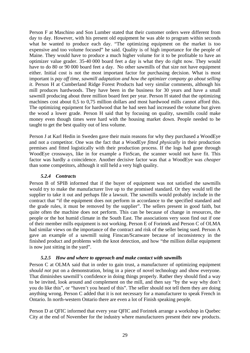<span id="page-31-0"></span>Person F at Maschino and Son Lumber stated that their customer orders were different from day to day. However, with his present old equipment he was able to program within seconds what he wanted to produce each day. "The optimizing equipment on the market is too expensive and too volume focused" he said. Quality is of high importance for the people of Maine. They would have to produce a much higher volume for it to be profitable to have an optimizer value grader. 35-40 000 board feet a day is what they do right now. They would have to do 80 or 90 000 board feet a day. No other sawmills of that size not have equipment either. Initial cost is not the most important factor for purchasing decision. What is most important is *pay off time, sawmill adaptation and how the optimizer company go about selling it*. Person H at Cumberland Ridge Forest Products had very similar comments, although his mill produces hardwoods. They have been in the business for 30 years and have a small sawmill producing about three million board feet per year. Person H stated that the optimizing machines cost about 0,5 to 0,75 million dollars and most hardwood mills cannot afford this. The optimizing equipment for hardwood that he had seen had increased the volume but given the wood a lower grade. Person H said that by focusing on quality, sawmills could make money even though times were hard with the housing market down. People needed to be taught to get the best quality out of less volume.

Person J at Karl Hedin in Sweden gave their main reasons for why they purchased a WoodEye and not a competitor. One was the fact that a WoodEye *fitted physically* in their production premises and fitted logistically with their production process. If the logs had gone through WoodEye crossways, like in for example a FinScan, the scanner would not have fit. This factor was hardly a coincidence. Another decisive factor was that a WoodEye was *cheaper* than some competitors, although it still held a very high quality.

#### *5.2.4 Contracts*

Person B of SPIB informed that if the buyer of equipment was not satisfied the sawmills would try to make the manufacturer live up to the promised standard. Or they would tell the supplier to take it out and perhaps file a lawsuit. The sawmills would probably include in the contract that "if the equipment does not perform in accordance to the specified standard and the grade rules, it must be removed by the supplier". The sellers present in good faith, but quite often the machine does not perform. This can be because of change in resources, the people or the hot humid climate in the South East. The associations very soon find out if one of their member mills equipment is not working. Person E of Forintek and Person C of OLMA had similar views on the importance of the contract and risk of the seller being sued. Person A gave an example of a sawmill suing Finscan/Scanware because of inconsistency in the finished product and problems with the knot detection, and how "the million dollar equipment is now just sitting in the yard".

#### *5.2.5 How and where to approach and make contact with sawmills*

Person C at OLMA said that in order to gain trust, a manufacturer of optimizing equipment *should not* put on a demonstration, bring in a piece of novel technology and show everyone. That diminishes sawmill's confidence in doing things properly. Rather they should find a way to be invited, look around and complement on the mill, and then say "by the way why don't you do like this", or "haven't you heard of this". The seller should not tell them they are doing anything wrong. Person C added that it is not necessary for a manufacturer to speak French in Ontario. In north-western Ontario there are even a lot of Finish speaking people.

Person D at QFIC informed that every year QFIC and Forintek arrange a workshop in Quebec City at the end of November for the industry where manufacturers present their new products.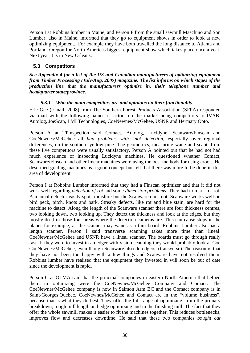<span id="page-32-0"></span>Person I at Robbins lumber in Maine, and Person F from the small sawmill Maschino and Son Lumber, also in Maine, informed that they go to equipment shows in order to look at new optimizing equipment. For example they have both travelled the long distance to Atlanta and Portland, Oregon for North Americas biggest equipment show which takes place once a year. Next year it is in New Orleans.

## **5.3 Competitors**

*See Appendix 4 for a list of the US and Canadian manufacturers of optimizing equipment from Timber Processing (July/Aug. 2007) magazine. The list informs on which stages of the production line that the manufacturers optimize in, their telephone number and headquarter state/province.* 

#### *5.3.1 Who the main competitors are and opinions on their functionality*

Eric Gee (e-mail, 2008) from The Southern Forest Products Association (SFPA) responded via mail with the following names of actors on the market being competitors to IVAB: Autolog, JoeScan, LMI Technologies, CoeNewnes/McGehee, USNR and Hermary Opto.

Person A at TPinspection said Comact, Autolog, Lucidyne, Scanware/Finscan and CoeNewnes/McGehee all *had problems with knot detection*, especially over regional differences, on the southern yellow pine. The geometrics, measuring wane and scant, from these five competitors were usually satisfactory. Person A pointed out that he had not had much experience of inspecting Lucidyne machines. He questioned whether Comact, Scanware/Finscan and other linear machines were using the best methods for using crook. He described grading machines as a good concept but felt that there was more to be done in this area of development.

Person I at Robbins Lumber informed that they had a Finscan optimizer and that it did not work well regarding *detection of rot* and some *dimension problems*. They had to mark for rot. A manual detector easily spots moisture but the Scanware does not. Scanware works well on bird peck, pitch, knots and bark. Streaky defects, like rot and blue stain, are hard for the machine to detect. Along the length of the Scanware scanner there are four thickness centres, two looking down, two looking up. They detect the thickness and look at the edges, but they mostly do it in those four areas where the detection cameras are. This can cause stops in the planer for example, as the scanner may wane as a thin board. Robbins Lumber also has a length scanner. Person I said transverse scanning takes more time than lineal. CoeNewnes/McGehee and USNR have a lineal scanner. The boards must go through really fast. If they were to invest in an edger with vision scanning they would probably look at Coe CoeNewnes/McGehee, even though Scanware also do edgers, (transverse) The reason is that they have not been too happy with a few things and Scanware have not resolved them. Robbins lumber have realised that the equipment they invested in will soon be out of date since the development is rapid.

Person C at OLMA said that the principal companies in eastern North America that helped them in optimizing were the CoeNewnes/McGehee Company and Comact. The CoeNewnes/McGehee company is now in Salmon Arm BC and the Comact company is in Saint-Georges Quebec. CoeNewnes/McGehee and Comact are in the "volume business", because that is what they do best. They offer the full range of optimizing, from the primary breakdown, rough mill length and edge optimizing and in the finishing mill. The fact that they offer the whole sawmill makes it easier to fit the machines together. This reduces bottlenecks, improves flow and decreases downtime. He said that these two companies *bought out*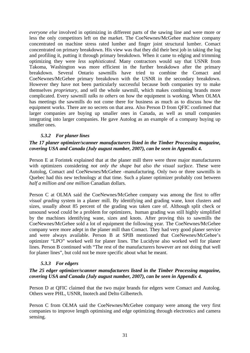<span id="page-33-0"></span>*everyone else* involved in optimizing in different parts of the sawing line and were more or less the only competitors left on the market. The CoeNewnes/McGehee machine company concentrated on machine stress rated lumber and finger joint structural lumber. Comact concentrated on primary breakdown. His view was that they did their best job in taking the log and profiling it, putting it through primary breakdown. When it came to edging and trimming optimizing they were *less sophisticated*. Many contractors would say that USNR from Takoma, Washington was more efficient in the further breakdown after the primary breakdown. Several Ontario sawmills have tried to combine the Comact and CoeNewnes/McGehee primary breakdown with the USNR in the secondary breakdown. However they have not been particularly successful because both companies try to make themselves *proprietary,* and sell the whole sawmill, which makes combining brands more complicated. Every sawmill *talks to others* on how the equipment is working. When OLMA has meetings the sawmills do not come there for business as much as to discuss how the equipment works. There are no secrets on that area. Also Person D from QFIC confirmed that larger companies are buying up smaller ones in Canada, as well as small companies integrating into larger companies. He gave Autolog as an example of a company buying up smaller ones.

#### *5.3.2 For planer lines*

### *The 17 planer optimizer/scanner manufacturers listed in the Timber Processing magazine, covering USA and Canada (July august number, 2007), can be seen in Appendix 4.*

Person E at Forintek explained that at the planer mill there were three major manufacturers with optimizers considering *not only the shape but also the visual surface*. These were Autolog, Comact and CoeNewnes/McGehee -manufacturing. Only two or three sawmills in Quebec had this new technology at that time. Such a planer optimizer probably cost between *half a million and one million* Canadian dollars*.* 

Person C at OLMA said the CoeNewnes/McGehee company was among the first to offer *visual grading* system in a planer mill. By identifying and grading wane, knot clusters and sizes, usually about 85 percent of the grading was taken care of. Although split check or unsound wood could be a problem for optimizers, human grading was still highly simplified by the machines identifying wane, sizes and knots. After proving this to sawmills the CoeNewnes/McGehee sold a lot of equipment the following year. The CoeNewnes/McGehee company were more adept in the planer mill than Comact. They had very good planer service and were always available. Person B at SPIB mentioned that CoeNewnes/McGehee's optimizer "LPO" worked well for planer lines. The Lucidyne also worked well for planer lines. Person B continued with "The rest of the manufacturers however are not doing that well for planer lines", but cold not be more specific about what he meant.

#### *5.3.3 For edgers*

#### *The 25 edger optimizer/scanner manufacturers listed in the Timber Processing magazine, covering USA and Canada (July august number, 2007), can be seen in Appendix 4.*

Person D at QFIC claimed that the two major brands for edgers were Comact and Autolog. Others were PHL, USNR, Inotech and Delto Gilbertech.

Person C from OLMA said the CoeNewnes/McGehee company were among the very first companies to improve length optimising and edge optimizing through electronics and camera sensing.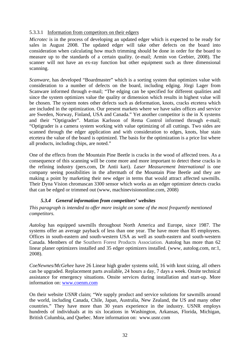### <span id="page-34-0"></span>5.3.3.1 Information from competitors on their edgers

*Microtec* is in the process of developing an updated edger which is expected to be ready for sales in August 2008. The updated edger will take other defects on the board into consideration when calculating how much trimming should be done in order for the board to measure up to the standards of a certain quality. (e-mail; Armin von Grebier, 2008). The scanner will not have an ex-ray function but other equipment such as three dimensional scanning.

*Scanware,* has developed "Boardmaster" which is a sorting system that optimizes value with consideration to a number of defects on the board, including edging. Jörgi Lager from Scanware informed through e-mail; "The edging can be specified for different qualities and since the system optimizes value the quality or dimension which results in highest value will be chosen. The system notes other defects such as deformation, knots, cracks etcetera which are included in the optimization. Our present markets where we have sales offices and service are Sweden, Norway, Finland, USA and Canada." Yet another competitor is the in X systems and their "Optigrader". Mattias Karlsson of Rema Control informed through e-mail; "Optigrader is a camera system working with value optimizing of all cuttings. Two sides are scanned through the edger application and with consideration to edges, knots, blue stain etcetera the value of the board is optimized. The basis for the optimization is a price list where all products, including chips, are noted."

One of the effects from the Mountain Pine Beetle is cracks in the wood of affected trees. As a consequence of this scanning will be come more and more important to detect these cracks in the refining industry (pers.com, Dr Antii kari). *Laser Measurement International* is one company seeing possibilities in the aftermath of the Mountain Pine Beetle and they are making a point by marketing their new edger in terms that would attract affected sawmills. Their Dyna Vision chromascan 3300 sensor which works as an edger optimizer detects cracks that can be edged or trimmed out (www, machinevisiononline.com, 2008)

#### *5.3.4 General information from competitors' websites*

*This paragraph is intended to offer more insight on some of the most frequently mentioned competitors.* 

*Autolog* has equipped sawmills throughout North America and Europe, since 1987. The systems offer an average payback of less than one year. The have more than 85 employees. Offices in south-eastern and south-western USA as well as south-eastern and south-western Canada. Members of the Southern Forest Products Association. Autolog has more than 62 linear planer optimizers installed and 35 edger optimizers installed. (www, autolog.com, nr:1, 2008).

*CoeNewnes/McGehee* have 26 Linear high grader systems sold, 16 with knot sizing, all others can be upgraded. Replacement parts available, 24 hours a day, 7 days a week. Onsite technical assistance for emergency situations. Onsite services during installation and start-up. More information on: [www.coenm.com](http://www.coenm.com/) 

On their website *USNR* claim; "We supply product and service solutions for sawmills around the world, including Canada, Chile, Japan, Australia, New Zealand, the US and many other countries." They have more than 30 years experience in the industry. USNR employs hundreds of individuals at its six locations in Washington, Arkansas, Florida, Michigan, British Columbia, and Quebec. More information on: [www.usnr.com](http://www.usnr.com/)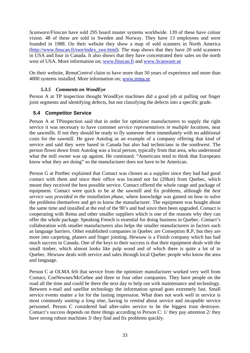<span id="page-35-0"></span>*Scanware/Finscan* have sold 295 board master systems worldwide. 139 of these have colour vision. 48 of these are sold in Sweden and Norway. They have 13 employees and were founded in 1988. On their website they show a map of sold scanners in North America [\(http://www.finscan.fi/swe/index\\_swe.html](http://www.finscan.fi/swe/index_swe.html)). The map shows that they have 20 sold scanners in USA and four in Canada. It also shows that they have concentrated their sales on the north west of USA. More information on; [www.finscan.fi](http://www.finscan.fi/) and [www.Scanware.se](http://www.scanware.se/)

On their website, *RemaControl* claim to have more than 50 years of experience and more than 4000 systems installed. More information on; [www.rema.se](http://www.rema.se/)

#### *5.3.5 Comments on WoodEye*

Person A at TP inspection thought WoodEye machines did a good job at pulling out finger joint segments and identifying defects, but not classifying the defects into a specific grade.

## **5.4 Competitor Service**

Person A at TPinspection said that in order for optimizer manufacturers to supply the right service it was necessary to have customer *service representatives in multiple location*s, near the sawmills. If not they should be ready to fly someone there immediately with no additional costs for the sawmill. He gave Autolog as an example of a company offering that kind of service and said they were based in Canada but also had technicians in the southwest. The person flown down from Autolog was a local person, typically from that area, who understood what the mill owner was up against. He continued; "Americans tend to think that Europeans know what they are doing" so the manufacturer does not have to be American.

Person G at Portbec explained that Comact was chosen as a supplier since they had had good contact with them and since their office was located not far (20km) from Quebec, which meant they received the best possible service. Comact offered the whole range and package of equipment. Comact were quick to be at the sawmill and fix problems, although the *best service was provided in the installation phase*, where knowledge was gained on how to solve the problems themselves and get to know the manufacturer. The equipment was bought about the same time and installed at the end of the 90's and had since then been upgraded. Comact is cooperating with Rema and other smaller suppliers which is one of the reasons why they can offer the whole package. Speaking French is essential for doing business in Quebec. Comact's collaboration with smaller manufacturers also helps the smaller manufacturers in factors such as language barriers. Other established companies in Quebec are Conseption R.P, but they are more into carpeting, planers and finger jointing. Hewsaw is a Finish company which has had much success in Canada. One of the keys to their success is that their equipment deals with the small timber, which almost looks like pulp wood and of which there is quite a lot of in Quebec. Hewsaw deals with service and sales through local Quebec people who know the area and language.

Person C at OLMA felt that service from the optimizer manufacturer worked very well from Comact, CoeNewnes/McGehee and three or four other companies. They have people on the road all the time and could be there the next day to help out with maintenance and technology. Between e-mail and satellite technology the information spread goes extremely fast. Small service events matter a lot for the lasting impression. What does not work well in service is most commonly *waiting a long time*, having to *remind* about service and *incapable* service personnel. Person C considered bad after-sales service to be the biggest trust destroyer. Comact's success depends on three things according to Person C: 1/ they pay attention 2/ they have strong robust machines 3/ they find and fix problems quickly.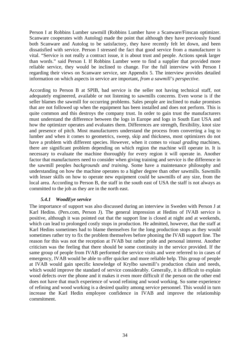<span id="page-36-0"></span>Person I at Robbins Lumber sawmill (Robbins Lumber have a Scanware/Finscan optimizer. Scanware cooperates with Autolog) made the point that although they have previously found both Scanware and Autolog to be satisfactory, they have recently felt let down, and been dissatisfied with service. Person I stressed the fact that good service from a manufacturer is vital. "Service is not really a contract issue, it is about trust and people. Actions speak larger than words." said Person I. If Robbins Lumber were to find a supplier that provided more reliable service, they would be inclined to change. For the full interview with Person I regarding their views on Scanware service, see Appendix 5. The interview provides detailed information on which aspects in service are important, *from a sawmill's perspective.* 

According to Person B at SPIB, bad service is the seller not having technical staff, not adequately engineered, available or not listening to sawmills concerns. Even worse is if the seller blames the sawmill for occurring problems. Sales people are inclined to make promises that are not followed up when the equipment has been installed and does not perform. This is quite common and this destroys the company trust. In order to gain trust the manufacturers must understand the difference between the logs in Europe and logs in South East USA and how the optimizer operates and evaluates them. Differences are strength, flexibility, knot size and presence of pitch. Most manufacturers understand the process from converting a log to lumber and when it comes to geometrics, sweep, skip and thickness, most optimizers do not have a problem with different species. However, when it comes to *visual grading* machines, there are significant problem depending on which region the machine will operate in. It is necessary to evaluate the machine thoroughly for every region it will operate in. Another factor that manufacturers need to consider when giving training and service is the difference in the sawmill peoples *backgrounds and training*. Some have a maintenance philosophy and understanding on how the machine operates to a higher degree than other sawmills. Sawmills with lesser skills on how to operate new equipment could be sawmills of any size, from the local area. According to Person B, the staff in the south east of USA the staff is not always as committed to the job as they are in the north east.

#### *5.4.1 WoodEye service*

The importance of support was also discussed during an interview in Sweden with Person J at Karl Hedins. (Pers.com, Person J). The general impression at Hedins of IVAB service is positive, although it was pointed out that the support line is closed at night and at weekends, which can lead to prolonged costly stops in production. He admitted, however, that the staff at Karl Hedins sometimes had to blame themselves for the long production stops as they would sometimes rather try to fix the problem themselves before phoning the IVAB support line. The reason for this was not the reception at IVAB but rather pride and personal interest. Another criticism was the feeling that there should be some continuity in the service provided. If the same group of people from IVAB performed the service visits and were referred to in cases of emergency, IVAB would be able to offer quicker and more reliable help. This group of people at IVAB would gain specific knowledge of Krylbo sawmill's production chain and needs, which would improve the standard of service considerably. Generally, it is difficult to explain wood defects over the phone and it makes it even more difficult if the person on the other end does not have that much experience of wood refining and wood working. So some experience of refining and wood working is a desired quality among service personnel. This would in turn increase the Karl Hedin employee confidence in IVAB and improve the relationship commitment.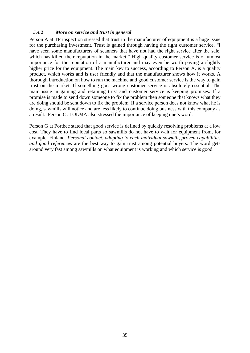#### <span id="page-37-0"></span>*5.4.2 More on service and trust in general*

Person A at TP inspection stressed that trust in the manufacturer of equipment is a huge issue for the purchasing investment. Trust is gained through having the right customer service. "I have seen some manufacturers of scanners that have not had the right service after the sale, which has killed their reputation in the market." High quality customer service is of utmost importance for the reputation of a manufacturer and may even be worth paying a slightly higher price for the equipment. The main key to success, according to Person A, is a quality product, which works and is user friendly and that the manufacturer shows how it works. A thorough introduction on how to run the machine and good customer service is the way to gain trust on the market. If something goes wrong customer service is absolutely essential. The main issue in gaining and retaining trust and customer service is keeping promises. If a promise is made to send down someone to fix the problem then someone that knows what they are doing should be sent down to fix the problem. If a service person does not know what he is doing, sawmills will notice and are less likely to continue doing business with this company as a result. Person C at OLMA also stressed the importance of keeping one's word.

Person G at Portbec stated that good service is defined by quickly resolving problems at a low cost. They have to find local parts so sawmills do not have to wait for equipment from, for example, Finland. *Personal contact, adapting to each individual sawmill, proven capabilities and good references* are the best way to gain trust among potential buyers. The word gets around very fast among sawmills on what equipment is working and which service is good.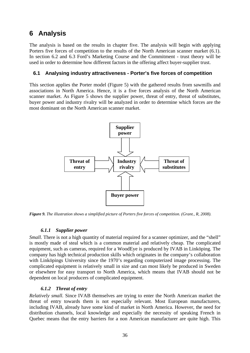# <span id="page-38-0"></span>**6 Analysis**

The analysis is based on the results in chapter five. The analysis will begin with applying Porters five forces of competition to the results of the North American scanner market (6.1). In section 6.2 and 6.3 Ford's Marketing Course and the Commitment - trust theory will be used in order to determine how different factors in the offering affect buyer-supplier trust.

### **6.1 Analysing industry attractiveness - Porter's five forces of competition**

This section applies the Porter model (Figure 5) with the gathered results from sawmills and associations in North America. Hence, it is a five forces analysis of the North American scanner market. As Figure 5 shows the supplier power, threat of entry, threat of substitutes, buyer power and industry rivalry will be analyzed in order to determine which forces are the most dominant on the North American scanner market.



*Figure 9. The illustration shows a simplified picture of Porters five forces of competition. (Grant., R, 2008).* 

#### *6.1.1 Supplier power*

*Small.* There is not a high quantity of material required for a scanner optimizer, and the "shell" is mostly made of steal which is a common material and relatively cheap. The complicated equipment, such as cameras, required for a WoodEye is produced by IVAB in Linköping. The company has high technical production skills which originates in the company's collaboration with Linköpings University since the 1970's regarding computerized image processing. The complicated equipment is relatively small in size and can most likely be produced in Sweden or elsewhere for easy transport to North America, which means that IVAB should not be dependent on local producers of complicated equipment.

#### *6.1.2 Threat of entry*

*Relatively small.* Since IVAB themselves are trying to enter the North American market the threat of entry towards them is not especially relevant. Most European manufacturers, including IVAB, already have some kind of market in North America. However, the need for distribution channels, local knowledge and especially the necessity of speaking French in Quebec means that the entry barriers for a non American manufacturer are quite high. This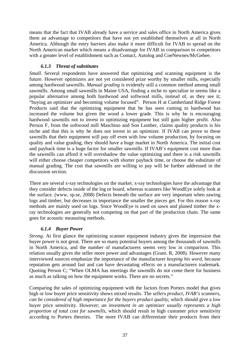<span id="page-39-0"></span>means that the fact that IVAB already have a service and sales office in North America gives them an advantage to competitors that have not yet established themselves at all in North America. Although the entry barriers also make it more difficult for IVAB to spread on the North American market which means a disadvantage for IVAB in comparison to competitors with a greater level of establishment such as Comact, Autolog and CoeNewnes/McGehee.

### *6.1.3 Threat of substitutes*

*Small.* Several respondents have answered that optimizing and scanning equipment is the future. However optimizers are not yet considered prize worthy by smaller mills, especially among hardwood sawmills. *Manual grading* is evidently still a common method among small sawmills. Among small sawmills in Maine USA, finding a niche to specialize in seems like a popular alternative among both hardwood and softwood mills, instead of, as they see it; "buying an optimizer and becoming volume focused". Person H at Cumberland Ridge Forest Products said that the optimizing equipment that he has seen coming to hardwood has increased the volume but given the wood a lower grade. This is why he is encouraging hardwood sawmills not to invest in optimizing equipment but still gain higher profit. Also Person F, from the softwood mill Maschino and Son Lumber, claims quality products is his niche and that this is why he does not invest in an optimizer. If IVAB can prove to these sawmills that their equipment will pay off even with low volume production, by focusing on quality and value grading, they should have a huge market in North America. The initial cost and payback time is a huge factor for smaller sawmills. If IVAB's equipment cost more than the sawmills can afford it will overshadow the value optimizing and there is a risk sawmills will either choose cheaper competitors with shorter payback time, or choose the substitute of manual grading. The cost that sawmills are willing to pay will be further addressed in the discussion section.

There are several x-ray technologies on the market. x-ray technologies have the advantage that they consider defects inside of the log or board, whereas scanners like WoodEye solely look at the surface. (www, sp.se, 2008) Defects beneath the surface are very important when sawing logs and timber, but decreases in importance the smaller the pieces get. For this reason x-ray methods are mainly used on logs. Since WoodEye is used on sawn and planed timber the xray technologies are generally not competing on that part of the production chain. The same goes for acoustic measuring methods.

#### *6.1.4 Buyer Power*

*Strong.* At first glance the optimizing scanner equipment industry gives the impression that buyer power is not great. There are so many potential buyers among the thousands of sawmills in North America, and the number of manufacturers seems very low in comparison. This relation usually gives the seller more power and advantages (Grant. R, 2008). However many interviewed sources emphasize the importance of the manufacturer *keeping his word*, because reputation gets around fast and can have devastating effects on a manufacturers trademark. Quoting Person C; "When OLMA has meetings the sawmills do not come there for business as much as talking on how the equipment works. There are no secrets."

Comparing the sales of optimizing equipment with the factors from Porters model that gives high or low buyer price sensitivity shows mixed results. The *sellers product, IVAB's scanners, can be considered of high importance for the buyers product quality*, which should give a low buyer price sensitivity. However; *an investment in an optimizer usually represents a high proportion of total cost for sawmills,* which should result in high customer price sensitivity according to Porters theories. The more IVAB can differentiate their products from their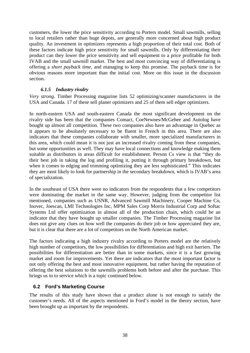<span id="page-40-0"></span>customers, the lower the price sensitivity according to Porters model. Small sawmills, selling to local retailers rather than huge depots, are generally more concerned about high product quality. An investment in optimizers represents a high proportion of their total cost. Both of these factors indicate high price sensitivity for small sawmills. Only by differentiating their product can they lower the price sensitivity and sell equipment to a price profitable for both IVAB and the small sawmill market. The best and most convincing way of differentiating is offering a *short payback time*, and managing to keep this promise. The payback time is for obvious reasons more important than the initial cost. More on this issue in the discussion section.

#### *6.1.5 Industry rivalry*

*Very strong.* Timber Processing magazine lists 52 optimizing/scanner manufacturers in the USA and Canada*.* 17 of these sell planer optimizers and 25 of them sell edger optimizers.

In north-eastern USA and south-eastern Canada the most significant development on the rivalry side has been that the companies Comact, CoeNewnes/McGehee and Autolog have bought up almost all competition. These two companies also have an advantage in Quebec as it appears to be absolutely necessary to be fluent in French in this area. There are also indicators that these companies collaborate with smaller, more specialized manufacturers in this area, which could mean it is not just an increased rivalry coming from these companies, but some opportunities as well. They may have local connections and knowledge making them suitable as distributors in areas difficult for establishment. Person Cs view is that "they do their best job in taking the log and profiling it, putting it through primary breakdown, but when it comes to edging and trimming optimizing they are less sophisticated." This indicates they are most likely to look for partnership in the secondary breakdown, which is IVAB's area of specialization.

In the southeast of USA there were no indicators from the respondents that a few competitors were dominating the market in the same way. However, judging from the competitor list mentioned, companies such as USNR, Advanced Sawmill Machinery, Cooper Machine Co, Inovec, Joescan, LMI Technologies Inc, MPM Sales Corp Morris Industrial Corp and Softac Systems Ltd offer optimization in almost all of the production chain, which could be an indicator that they have bought up smaller companies. The Timber Processing magazine list does not give any clues on how well the companies do their job or how appreciated they are, but it is clear that there are a lot of competitors on the North American market.

The factors indicating a high industry rivalry according to Porters model are the relatively high number of competitors, the low possibilities for differentiation and high exit barriers. The possibilities for differentiation are better than in some markets, since it is a fast growing market and room for improvements. Yet there are indicators that the most important factor is not only offering the best and most innovative equipment, but rather having the reputation of offering the best solutions to the sawmills problems both before and after the purchase. This brings us in to service which is a topic continued below.

#### **6.2 Ford's Marketing Course**

The results of this study have shown that a product alone is not enough to satisfy the customer's needs. All of the aspects mentioned in Ford's model in the theory section, have been brought up as important by the respondents.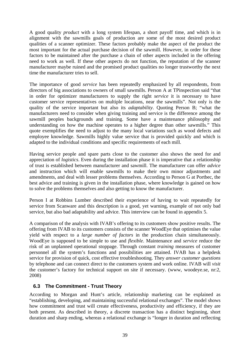<span id="page-41-0"></span>A good quality *product* with a long system lifespan, a short payoff time, and which is in alignment with the sawmills goals of production are some of the most desired product qualities of a scanner optimizer. These factors probably make the aspect of the product the most important for the actual purchase decision of the sawmill. However, in order for these factors to be maintained after the purchase a chain of other aspects included in the offering need to work as well. If these other aspects do not function, the reputation of the scanner manufacturer maybe ruined and the promised product qualities no longer trustworthy the next time the manufacturer tries to sell.

The importance of good *service* has been repeatedly emphasized by all respondents, from directors of big associations to owners of small sawmills. Person A at TPinspection said "that in order for optimizer manufacturers to supply the right *service* it is necessary to have customer service representatives on multiple locations, near the sawmills". Not only is the quality of the service important but also its *adaptability*. Quoting Person B; "what the manufacturers need to consider when giving training and service is the difference among the sawmill peoples backgrounds and training. Some have a maintenance philosophy and understanding on how the machine operates to a higher degree than other sawmills." This quote exemplifies the need to adjust to the many local variations such as wood defects and employee knowledge. Sawmills highly value service that is provided quickly and which is adapted to the individual conditions and specific requirements of each mill.

Having service people and spare parts close to the customer also shows the need for and appreciation of *logistics*. Even during the installation phase it is imperative that a relationship of trust is established between manufacturer and sawmill. The manufacturer can offer *advice* and instruction which will enable sawmills to make their own minor adjustments and amendments, and deal with lesser problems themselves. According to Person G at Portbec, the best advice and training is given in the installation phase, where knowledge is gained on how to solve the problems themselves and also getting to know the manufacturer.

Person I at Robbins Lumber described their experience of having to wait repeatedly for service from Scanware and this description is a good, yet warning, example of not only bad service, but also bad adaptability and advice. This interview can be found in appendix 5.

A comparison of the analysis with IVAB's offering to its customers show positive results. The offering from IVAB to its customers consists of the scanner WoodEye that optimises the value yield with respect to a *large number of factors* in the production chain simultaneously. WoodEye is supposed to be simple to use and *flexible*. Maintenance and *service* reduce the risk of an unplanned operational stoppage. Through constant *training* measures of customer personnel all the system's functions and possibilities are attained. IVAB has a helpdesk service for provision of quick, cost effective troubleshooting. They *answer customer questions* by telephone and can connect direct to the customers system and work online. IVAB will *visit*  the customer's factory for technical support on site if necessary. (www, woodeye.se, nr:2, 2008)

## **6.3 The Commitment - Trust Theory**

According to Morgan and Hunt's article, relationship marketing can be explained as "establishing, developing, and maintaining successful relational exchanges". The model shows how commitment and trust will create effectiveness, productivity and efficiency, if they are both present. As described in theory, a discrete transaction has a distinct beginning, short duration and sharp ending, whereas a relational exchange is "longer in duration and reflecting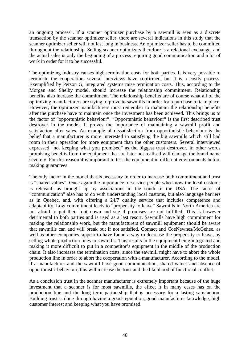an ongoing process". If a scanner optimizer purchase by a sawmill is seen as a discrete transaction by the scanner optimizer seller, there are several indications in this study that the scanner optimizer seller will not last long in business. An optimizer seller has to be committed throughout the relationship. Selling scanner optimizers therefore is a relational exchange, and the actual sales is only the beginning of a process requiring good communication and a lot of work in order for it to be successful.

The optimizing industry causes high termination costs for both parties. It is very possible to terminate the cooperation, several interviews have confirmed, but it is a costly process. Exemplified by Person G, integrated systems raise termination costs. This, according to the Morgan and Shelby model, should increase the relationship commitment. Relationship benefits also increase the commitment. The relationship benefits are of course what all of the optimizing manufacturers are trying to prove to sawmills in order for a purchase to take place. However, the optimizer manufacturers must remember to maintain the relationship benefits after the purchase have to maintain once the investment has been achieved. This brings us to the factor of "opportunistic behaviour". "Opportunistic behaviour" is the first described trust destroyer in the model. It proves the importance of maintaining a sawmill profit and satisfaction after sales. An example of dissatisfaction from opportunistic behaviour is the belief that a manufacturer is more interested in satisfying the big sawmills which still had room in their operation for more equipment than the other customers. Several interviewed expressed "not keeping what you promised" as the biggest trust destroyer. In other words promising benefits from the equipment that are later not realised will damage the brand name severely. For this reason it is important to test the equipment in different environments before making guarantees.

The only factor in the model that is necessary in order to increase both commitment and trust is "shared values". Once again the importance of service people who know the local customs is relevant, as brought up by associations in the south of the USA. The factor of "communication" also has to do with understanding local customs, but also language barriers as in Quebec, and, with offering a 24/7 quality service that includes competence and adaptability. Low commitment leads to "propensity to leave" Sawmills in North America are not afraid to put their foot down and sue if promises are not fulfilled. This is however detrimental to both parties and is used as a last resort. Sawmills have high commitment for making the relationship work, but the manufacturers of sawmill equipment should be aware that sawmills can and will break out if not satisfied. Comact and CoeNewnes/McGehee, as well as other companies, appear to have found a way to decrease the propensity to leave, by selling whole production lines to sawmills. This results in the equipment being integrated and making it more difficult to put in a competitor's equipment in the middle of the production chain. It also increases the termination costs, since the sawmill might have to abort the whole production line in order to abort the cooperation with a manufacturer. According to the model, if a manufacturer and the sawmill have good communication, shared values and absence of opportunistic behaviour, this will increase the trust and the likelihood of functional conflict.

As a conclusion trust in the scanner manufacturer is extremely important because of the huge investment that a scanner is for most sawmills, the effect it in many cases has on the production line and the long term partnership that is necessary for a lasting satisfaction. Building trust is done through having a good reputation, good manufacturer knowledge, high customer interest and keeping what you have promised.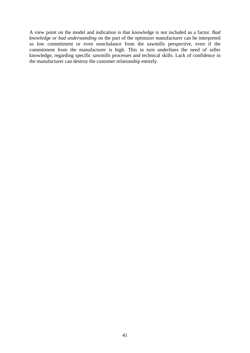A view point on the model and indication is that knowledge is not included as a factor. B*ad knowledge or bad understanding* on the part of the optimizer manufacturer can be interpreted as low commitment or even nonchalance from the sawmills perspective, even if the commitment from the manufacturer is high. This in turn underlines the need of seller knowledge, regarding specific sawmills processes and technical skills. Lack of confidence in the manufacturer can destroy the customer relationship entirely.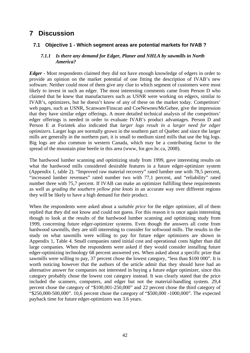# <span id="page-44-0"></span>**7 Discussion**

### **7.1 Objective 1 - Which segment areas are potential markets for IVAB ?**

#### *7.1.1 Is there any demand for Edger, Planer and NHLA by sawmills in North America?*

*Edger -* Most respondents claimed they did not have enough knowledge of edgers in order to provide an opinion on the market potential of one fitting the description of IVAB's new software. Neither could most of them give any clue to which segment of customers were most likely to invest in such an edger. The most interesting comments came from Person D who claimed that he knew that manufacturers such as USNR were working on edgers, similar to IVAB's, optimizers, but he doesn't know of any of these on the market today. Competitors' web pages, such as USNR, Scanware/Finscan and CoeNewnes/McGehee, give the impression that they have similar edger offerings. A more detailed technical analysis of the competitors' edger offerings is needed in order to evaluate IVAB's product advantages. Person D and Person E at Forintek also indicated that *larger logs result in a larger need for edger optimizers*. Larger logs are normally grown in the southern part of Quebec and since the larger mills are generally in the northern part, it is small to medium sized mills that use the big logs. Big logs are also common in western Canada, which may be a contributing factor to the spread of the mountain pine beetle in this area (www, for.gov.bc.ca, 2008).

The hardwood lumber scanning and optimizing study from 1999, gave interesting results on what the hardwood mills considered desirable features in a future edger-optimizer system (Appendix 1, table 2). "Improved raw material recovery" rated lumber one with 78,5 percent, "increased lumber revenues" rated number two with 77,1 percent, and "reliability" rated number three with 75,7 percent. If IVAB can make an optimizer fulfilling these requirements as well as *grading the southern yellow pine knots* in an accurate way over different regions they will be likely to have a high demand for their product.

When the respondents were asked about a *suitable price* for the edger optimizer, all of them replied that they did not know and could not guess. For this reason it is once again interesting though to look at the results of the hardwood lumber scanning and optimizing study from 1999, concerning future edger-optimizer systems. Even though the answers all come from hardwood sawmills, they are still interesting to consider for softwood mills. The results in the study on what sawmills were willing to pay for future edger optimizers are shown in Appendix 1, Table 4. Small companies rated initial cost and operational costs higher than did large companies. When the respondents were asked if they would consider installing future edger-optimizing technology 68 percent answered yes. When asked about a specific prize that sawmills were willing to pay, 37 percent chose the lowest category, "less than \$100 000". It is worth noticing however that the authors of the article admit that they should have had an alternative answer for companies not interested in buying a future edger optimizer, since this category probably chose the lowest cost category instead. It was clearly stated that the price included the scanners, computers, and edger but not the material-handling system. 29,4 percent chose the category of "\$100,001-250,000" and 22 percent chose the third category of "\$250,000-500,000". 10,6 percent chose the category of "\$500,000 -1000,000". The expected payback time for future edger-optimizers was 3.6 years.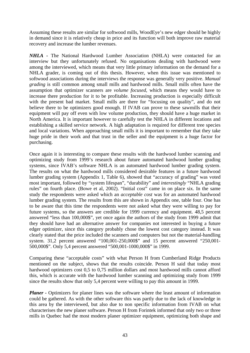Assuming these results are similar for softwood mills, WoodEye's new edger should be highly in demand since it is relatively cheap in price and its function will both improve raw material recovery and increase the lumber revenues.

*NHLA -* The National Hardwood Lumber Association (NHLA) were contacted for an interview but they unfortunately refused. No organisations dealing with hardwood were among the interviewed, which means that very little primary information on the demand for a NHLA grader, is coming out of this thesis. However, when this issue was mentioned to softwood associations during the interviews the response was generally very positive. *Manual grading* is still common among small mills and hardwood mills. Small mills often have the assumption that optimizer scanners are *volume focused*, which means they would have to increase there production for it to be profitable. Increasing production is especially difficult with the present bad market. Small mills are there for "focusing on quality", and do not believe there to be optimizers good enough. If IVAB can prove to these sawmills that their equipment will pay off even with low volume production, they should have a huge market in North America. It is important however to carefully test the NHLA in different locations and establishing a skilled service network. A high adaptation is required for different tree species and local variations. When approaching small mills it is important to remember that they take huge pride in their work and that trust in the seller and the equipment is a huge factor for purchasing.

Once again it is interesting to compare these results with the hardwood lumber scanning and optimizing study from 1999's research about future automated hardwood lumber grading systems, since IVAB's software NHLA is an automated hardwood lumber grading system. The results on what the hardwood mills considered desirable features in a future hardwood lumber grading system (Appendix 1, Table 6), showed that "accuracy of grading" was voted most important, followed by "system lifespan", "durability" and *interestingly* "NHLA grading rules" on fourth place. (Bowe et al, 2002). "Initial cost" came in on place six. In the same study the respondents were asked which an *acceptable cost* was for an automated hardwood lumber grading system. The results from this are shown in Appendix one, table four. One has to be aware that this time the respondents were not asked what they were willing to pay for future systems, so the answers are credible for 1999 currency and equipment. 48,5 percent answered "less than 100,000\$", yet once again the authors of the study from 1999 admit that they should have had an alternative answer for companies not interested in buying a future edger optimizer, since this category probably chose the lowest cost category instead. It was clearly stated that the price included the scanners and computers but not the material-handling system. 31,2 percent answered "100,001-250,000\$" and 15 percent answered "250,001- 500,000\$". Only 5,4 percent answered "500,001-1000,000\$" in 1999.

Comparing these "acceptable costs" with what Person H from Cumberland Ridge Products mentioned on the subject, shows that the results coincide. Person H said that today most hardwood optimizers cost 0,5 to 0,75 million dollars and most hardwood mills cannot afford this, which is accurate with the hardwood lumber scanning and optimizing study from 1999 since the results show that only 5,4 percent were willing to pay this amount in 1999.

*Planer -* Optimizers for planer lines was the software where the least amount of information could be gathered. As with the other software this was partly due to the lack of knowledge in this area by the interviewed, but also due to non specific information from IVAB on what characterises the new planer software. Person H from Forintek informed that only two or three mills in Quebec had the most modern planer optimizer equipment, optimizing both shape and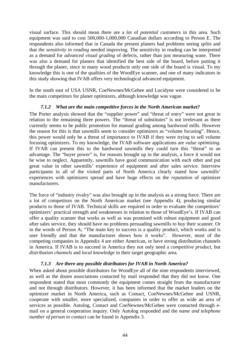<span id="page-46-0"></span>visual surface. This should mean there are a lot of *potential customers* in this area. Such equipment was said to cost 500,000-1,000,000 Canadian dollars according to Person E. The respondents also informed that in Canada the present planers had problems seeing *splits* and that *the sensitivity in reading* needed improving. The sensitivity in reading can be interpreted as a demand for *advanced visual grading* of defects, rather than just measuring wane. There was also a demand for planers that identified the best side of the board, before putting it through the planer, since in many wood products only one side of the board is visual. To my knowledge this is one of the qualities of the WoodEye scanner, and one of many indicators in this study showing that IVAB offers very technological advanced equipment.

In the south east of USA USNR, CoeNewnes/McGehee and Lucidyne were considered to be the main competitors for planer optimizers, although knowledge was vague.

#### *7.1.2 What are the main competitive forces in the North American market?*

The Porter analysis showed that the "supplier power" and "threat of entry" were not great in relation to the remaining three powers. The "threat of substitutes" is not irrelevant as there currently seems to be public promotion for manual grading among hardwood mills. However the reason for this is that sawmills seem to consider optimizers as "volume focusing". Hence, this power would only be a threat of importance to IVAB if they were trying to sell volume focusing optimizers. To my knowledge, the IVAB software applications are *value optimizing*. If IVAB can present this to the hardwood sawmills they could turn this "threat" to an advantage. The "buyer power" is, for reasons brought up in the analysis, a force it would not be wise to neglect. Apparently, sawmills have good communication with each other and put great value in other sawmills' experience of equipment and after sales service. Interview participants in all of the visited parts of North America clearly stated how sawmills' experiences with optimizers spread and have huge effects on the *reputation* of optimizer manufacturers.

The force of "industry rivalry" was also brought up in the analysis as a strong force. There are a lot of competitors on the North American market (see Appendix 4), producing similar products to those of IVAB. Technical skills are required in order to evaluate the competitors' optimizers' practical strength and weaknesses in relation to those of WoodEye's. If IVAB can offer a quality scanner that works as well as was promised with robust equipment and good after sales service, they should have no problems persuading sawmills to buy their scanner. Or in the words of Person A; "The main key to success is a quality product, which works and is user friendly and that the manufacturer shows how it works". However, most of the competing companies in Appendix 4 are either American, or have strong distribution channels in America. If IVAB is to succeed in America they not only need a *competitive product,* but *distribution channels* and *local knowledge* in their target geographic area*.* 

#### *7.1.3 Are there any possible distributors for IVAB in North America?*

When asked about possible distributors for WoodEye all of the nine respondents interviewed, as well as the dozen associations contacted by mail responded that they did not know. One respondent stated that most commonly the equipment comes straight from the manufacturer and not through distributors. However, it has been informed that the market leaders on the optimizer market in North America, such as Comact, CoeNewnes/McGehee and USNR, cooperate with smaller, more specialized, companies in order to offer as wide an area of services as possible. Autolog, Comact and CoeNewnes/McGehee were contacted through email on a general cooperation inquiry. Only Autolog responded and the *name and telephone number of person to contact* can be found in Appendix 3.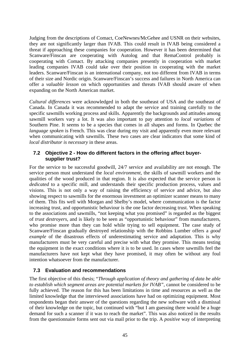<span id="page-47-0"></span>Judging from the descriptions of Comact, CoeNewnes/McGehee and USNR on their websites, they are not significantly larger than IVAB. This could result in IVAB being considered a threat if approaching these companies for cooperation. However it has been determined that Scanware/Finscan are cooperating with Autolog and that RemaControl probably is cooperating with Comact. By attacking companies presently in cooperation with market leading companies IVAB could take over their position in cooperating with the market leaders. Scanware/Finscan is an international company, not too different from IVAB in terms of their size and Nordic origin. Scanware/Finscan's success and failures in North America can offer a *valuable lesson* on which opportunities and threats IVAB should aware of when expanding on the North American market.

*Cultural differences* were acknowledged in both the southeast of USA and the southeast of Canada. In Canada it was recommended to adapt the service and training carefully to the specific sawmills working process and skills. Apparently the backgrounds and attitudes among sawmill workers vary a lot. It was also important to pay attention to *local variations* of Southern Pine. It seems to be a species that comes in all shapes and forms. In Quebec the *language spoken* is French. This was clear during my visit and apparently even more relevant when communicating with sawmills. These two cases are clear indicators that some kind of *local distributor is necessary* in these areas.

#### **7.2 Objective 2 - How do different factors in the offering affect buyersupplier trust?**

For the service to be successful goodwill, 24/7 service and availability are not enough. The service person must understand the *local environment*, the skills of sawmill workers and the qualities of the wood produced in that region. It is also expected that the service person is *dedicated* to a specific mill, and understands their specific production process, values and visions. This is not only a way of raising the efficiency of service and advice, but also showing respect to sawmills for the enormous investment an optimizer scanner means to many of them. This fits well with Morgan and Shelby's model, where communication is the factor increasing trust, and opportunistic behaviour is the one factor decreasing trust. When speaking to the associations and sawmills, "not keeping what you promised" is regarded as the biggest of *trust destroyers*, and is likely to be seen as "opportunistic behaviour" from manufacturers, who promise more than they can hold while trying to sell equipment. The case study of Scanware/Finscan gradually destroyed relationship with the Robbins Lumber offers a *good example* of the disastrous effects of underestimating service and adaptation. This is why manufacturers must be very careful and precise with what they promise. This means testing the equipment in the exact conditions where it is to be used. In cases where sawmills feel the manufacturers have not kept what they have promised, it may often be without any foul intention whatsoever from the manufacturer.

#### **7.3 Evaluation and recommendations**

The first objective of this thesis; "*Through application of theory and gathering of data be able*  to establish which segment areas are potential markets for IVAB", cannot be considered to be fully achieved. The reason for this has been limitations in time and resources as well as the limited knowledge that the interviewed associations have had on optimizing equipment. Most respondents began their answer of the questions regarding the new software with a dismissal of their knowledge on the topic, but continued with "but I am guessing there would be a huge demand for such a scanner if it was to reach the market". This was also noticed in the results from the questionnaire forms sent out via mail prior to the trip. A *positive* way of interpreting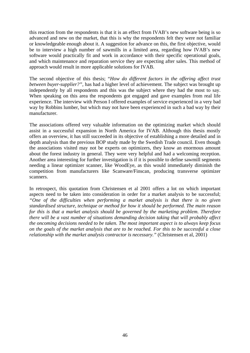this reaction from the respondents is that it is an effect from IVAB's new software being is so advanced and new on the market, that this is why the respondents felt they were not familiar or knowledgeable enough about it. A suggestion for advance on this, the first objective, would be to interview a high number of sawmills in a limited area, regarding how IVAB's new software would practically fit and work in accordance with their specific operational goals, and which maintenance and reparation service they are expecting after sales. This method of approach would result in more applicable solutions for IVAB.

The second objective of this thesis; "*How do different factors in the offering affect trust between buyer-supplier?",* has had a higher level of achievement. The subject was brought up independently by all respondents and this was the subject where they had the most to say. When speaking on this area the respondents got engaged and gave examples from real life experience. The interview with Person I offered examples of service experienced in a very bad way by Robbins lumber, but which may not have been experienced in such a bad way by their manufacturer.

The associations offered very valuable information on the optimizing market which should assist in a successful expansion in North America for IVAB. Although this thesis mostly offers an overview, it has still succeeded in its objective of establishing a more detailed and in depth analysis than the previous BOP study made by the Swedish Trade council. Even though the associations visited may not be experts on optimizers, they know an enormous amount about the forest industry in general. They were very helpful and had a welcoming reception. Another area interesting for further investigation is if it is possible to define sawmill segments needing a linear optimizer scanner, like WoodEye, as this would immediately diminish the competition from manufacturers like Scanware/Finscan, producing transverse optimizer scanners.

In retrospect, this quotation from Christensen et al 2001 offers a lot on which important aspects need to be taken into consideration in order for a market analysis to be successful; *"One of the difficulties when performing a market analysis is that there is no given standardised structure, technique or method for how it should be performed. The main reason for this is that a market analysis should be governed by the marketing problem. Therefore there will be a vast number of situations demanding decision taking that will probably affect the oncoming decisions needed to be taken. The most important aspect is to always keep focus on the goals of the market analysis that are to be reached. For this to be successful a close relationship with the market analysis contractor is necessary."* (Christensen et al, 2001)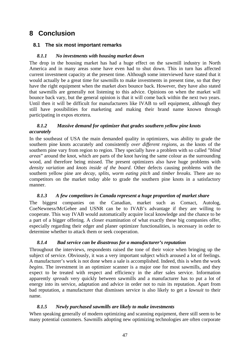# <span id="page-49-0"></span>**8 Conclusion**

### **8.1 The six most important remarks**

#### *8.1.1 No investments with housing market down*

The drop in the housing market has had a huge effect on the sawmill industry in North America and in many areas some have even had to shut down. This in turn has affected current investment capacity at the present time. Although some interviewed have stated that it would actually be a great time for sawmills to make investments in present time, so that they have the right equipment when the market *does* bounce back. However, they have also stated that sawmills are generally not listening to this advice. Opinions on when the market will bounce back vary, but the general opinion is that it will come back within the next two years. Until then it will be difficult for manufacturers like IVAB to sell equipment, although they still have possibilities for marketing and making their brand name known through participating in expos etcetera.

#### *8.1.2 Massive demand for optimizer that grades southern yellow pine knots accurately*

In the southeast of USA the main demanded quality in optimizers, was ability to grade the southern pine knots accurately and consistently *over different regions*, as the knots of the southern pine vary from region to region. They specially have a problem with so called "*blind areas*" around the knot, which are parts of the knot having the same colour as the surrounding wood, and therefore being missed. The present optimizers also have huge problems with *density variation* and *knots inside of the board*. Other defects causing problems with the southern yellow pine are *decay, splits, worm eating pitch* and *timber breaks.* There are no competitors on the market today able to grade the southern pine knots in a satisfactory manner.

#### *8.1.3 A few competitors in Canada represent a huge proportion of market share*

The biggest companies on the Canadian, market such as Comact, Autolog, CoeNewness/McGehee and USNR can be to IVAB's advantage if they are willing to cooperate. This way IVAB would automatically acquire local knowledge and the chance to be a part of a bigger offering. A closer examination of what exactly these big companies offer, especially regarding their edger and planer optimizer functionalities, is necessary in order to determine whether to attack them or seek cooperation.

#### *8.1.4 Bad service can be disastrous for a manufacturer's reputation*

Throughout the interviews, respondents raised the tone of their voice when bringing up the subject of service. Obviously, it was a very important subject which aroused a lot of feelings. A manufacturer's work is not done when a sale is accomplished. Indeed, this is when the work *begins*. The investment in an optimizer scanner is a major one for most sawmills, and they expect to be treated with respect and efficiency in the after sales service. Information apparently *spreads* very quickly between sawmills and a manufacturer has to put a lot of energy into its service, adaptation and advice in order not to ruin its reputation. Apart from bad reputation, a manufacturer that dismisses service is also likely to get a *lawsuit* to their name.

#### *8.1.5 Newly purchased sawmills are likely to make investments*

When speaking generally of modern optimizing and scanning equipment, there still seem to be many potential customers. Sawmills adopting new optimizing technologies are often corporate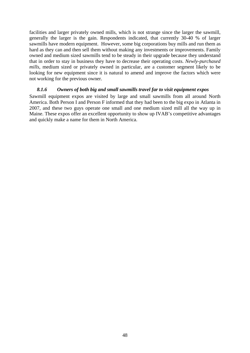<span id="page-50-0"></span>facilities and larger privately owned mills, which is not strange since the larger the sawmill, generally the larger is the gain. Respondents indicated, that currently 30-40 % of larger sawmills have modern equipment. However, some big corporations buy mills and run them as hard as they can and then sell them without making any investments or improvements. Family owned and medium sized sawmills tend to be steady in their upgrade because they understand that in order to stay in business they have to decrease their operating costs. *Newly-purchased mills*, medium sized or privately owned in particular, are a customer segment likely to be looking for new equipment since it is natural to amend and improve the factors which were not working for the previous owner.

#### *8.1.6 Owners of both big and small sawmills travel far to visit equipment expos*

Sawmill equipment expos are visited by large and small sawmills from all around North America. Both Person I and Person F informed that they had been to the big expo in Atlanta in 2007, and these two guys operate one small and one medium sized mill all the way up in Maine. These expos offer an excellent opportunity to show up IVAB's competitive advantages and quickly make a name for them in North America.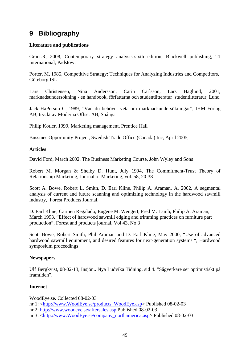# <span id="page-51-0"></span>**9 Bibliography**

#### **Literature and publications**

Grant.R, 2008, Contemporary strategy analysis-sixth edition, Blackwell publishing, TJ international, Padstow.

Porter. M, 1985, Competitive Strategy: Techniques for Analyzing Industries and Competitors, Göteborg ISL

Lars Christensen, Nina Andersson, Carin Carlsson, Lars Haglund, 2001, marknadsundersökning - en handbook, författarna och studentlitteratur studentlitteratur, Lund

Jack HaPerson C, 1989, "Vad du behöver veta om marknadsundersökningar", IHM Förlag AB, tryckt av Moderna Offset AB, Spånga

Philip Kotler, 1999, Marketing management, Prentice Hall

Bussines Opportunity Project, Swedish Trade Office (Canada) Inc, April 2005,

#### **Articles**

David Ford, March 2002, The Business Marketing Course, John Wyley and Sons

Robert M. Morgan & Shelby D. Hunt, July 1994, The Commitment-Trust Theory of Relationship Marketing, Journal of Marketing, vol. 58, 20-38

Scott A. Bowe, Robert L. Smith, D. Earl Kline, Philip A. Araman, A, 2002, A segmental analysis of current and future scanning and optimizing technology in the hardwood sawmill industry, Forest Products Journal,

D. Earl Kline, Carmen Regalado, Eugene M. Wengert, Fred M. Lamb, Philip A. Araman, March 1993, "Effect of hardwood sawmill edging and trimming practices on furniture part production", Forest and products journal, Vol 43, No 3

Scott Bowe, Robert Smith, Phil Araman and D. Earl Kline, May 2000, "Use of advanced hardwood sawmill equipment, and desired features for next-generation systems ", Hardwood symposium proceedings

#### **Newspapers**

Ulf Bergkvist, 08-02-13, Insjön,. Nya Ludvika Tidning, sid 4. "Sågverkare ser optimistiskt på framtiden".

#### **Internet**

WoodEye.se. Collected 08-02-03 nr 1: [<http://www.WoodEye.se/products\\_WoodEye.asp](http://www.woodeye.se/products_woodeye.asp)> Published 08-02-03 nr 2:<http://www.woodeye.se/aftersales.asp>Published 08-02-03 nr 3: [<http://www.WoodEye.se/company\\_northamerica.asp](http://www.woodeye.se/company_northamerica.asp)> Published 08-02-03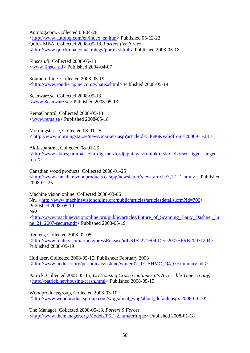Autolog.com, Collected 08-04-28 <[http://www.autolog.com/en/index\\_en.htm>](http://www.autolog.com/en/index_en.htm) Published 05-12-22 Quick MBA, Collected 2008-05-18, *Porters five forces* <[http://www.quickmba.com/strategy/porter.shtml](http://www.quickmba.com/strategy/porter.shtml%20Collected%202008-05-18) > Published 2008-05-18

Finscan.fi, Collected 2008-05-13 <[www.finscan.fi>](http://www.finscan.fi/) Published 2004-04-07

Southern Pine. Collected 2008-05-19 <<http://www.southernpine.com/whatis.shtml>> Published 2008-05-19

Scanware.se, Collected 2008-05-13 <[www.Scanware.se](http://www.scanware.se/)> Published 2008-05-13

RemaControl, Collected 2008-05-13 <[www.rema.se>](http://www.rema.se/) Published 2008-05-18

Morningstar.se, Collected 08-01-25 < <http://www.morningstar.se/news/markets.asp?articleid=54686&validfrom=2008-01-23>>

Aktiespararna, Collected 08-01-25 <[http://www.aktiespararna.se/lar-dig-mer/fordjupningar/konjukturskola/borsen-ligger-steget](http://www.aktiespararna.se/lar-dig-mer/fordjupningar/konjukturskola/borsen-ligger-steget-fore/)[fore/>](http://www.aktiespararna.se/lar-dig-mer/fordjupningar/konjukturskola/borsen-ligger-steget-fore/)

Canadian wood products, Collected 2008-01-25 <[http://www.canadianwoodproducts.ca/app/newsletter/view\\_article/3,1,1,,1.html](http://www.canadianwoodproducts.ca/app/newsletter/view_article/3,1,1,,1.html)> Published 2008-01-25

Machine vision online, Collected 2008-03-06 Nr1:<<http://www.machinevisiononline.org/public/articles/articlesdetails.cfm?id=700>> Published 2008-05-19 Nr2: <[http://www.machinevisiononline.org/public/articles/Future\\_of\\_Scanning\\_Barry\\_Dashner\\_Ju](http://www.machinevisiononline.org/public/articles/Future_of_Scanning_Barry_Dashner_June_21_2007-secure.pdf) [ne\\_21\\_2007-secure.pdf](http://www.machinevisiononline.org/public/articles/Future_of_Scanning_Barry_Dashner_June_21_2007-secure.pdf)> Published 2008-05-19

Reuters, Collected 2008-02-05 <[http://www.reuters.com/article/pressRelease/idUS152271+04-Dec-2007+PRN20071204>](http://www.reuters.com/article/pressRelease/idUS152271+04-Dec-2007+PRN20071204) Published 2008-05-19

Hud user, Collected 2008-05-15, Published: February 2008 <[http://www.huduser.org/periodicals/ushmc/winter07\\_1/USHMC\\_Q4\\_07summary.pdf](http://www.huduser.org/periodicals/ushmc/winter07_1/USHMC_Q4_07summary.pdf)>

Patrick, Collected 2008-05-15, *US Housing Crash Continues It's A Terrible Time To Buy*, <<http://patrick.net/housing/crash.html>> Published 2008-05-15

Woodproductsgroup, Collected 2008-03-10 <[http://www.woodproductsgroup.com/wpg/about\\_wpg/about\\_default.aspx 2008-03-10](http://www.woodproductsgroup.com/wpg/about_wpg/about_default.aspx%202008-03-10)>

The Manager, Collected 2008-05-13*. Porters 5 Forces.* <[http://www.themanager.org/Models/P5F\\_2.htm#critique>](http://www.themanager.org/Models/P5F_2.htm#critique) Published 2008-01-18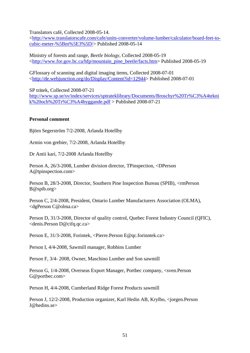Translators café, Collected 2008-05-14.

<[http://www.translatorscafe.com/cafe/units-converter/volume-lumber/calculator/board-feet-to](http://www.translatorscafe.com/cafe/units-converter/volume-lumber/calculator/board-feet-to-cubic-meter-%5Bm%5E3%5D/)[cubic-meter-%5Bm%5E3%5D/](http://www.translatorscafe.com/cafe/units-converter/volume-lumber/calculator/board-feet-to-cubic-meter-%5Bm%5E3%5D/)> Published 2008-05-14

Ministry of forests and range, *Beetle biology*, Collected 2008-05-19 <[http://www.for.gov.bc.ca/hfp/mountain\\_pine\\_beetle/facts.htm](http://www.for.gov.bc.ca/hfp/mountain_pine_beetle/facts.htm)> Published 2008-05-19

GFlossary of scanning and digital imaging items, Collected 2008-07-01 <[http://de.webjunction.org/do/Display/Content?id=12944>](http://de.webjunction.org/do/Display/Content?id=12944) Published 2008-07-01

SP trätek, Collected 2008-07-21

[http://www.sp.se/sv/index/services/sptrateklibrary/Documents/Broschyr%20Tr%C3%A4tekni](http://www.sp.se/sv/index/services/sptrateklibrary/Documents/Broschyr%20Tr%C3%A4teknik%20och%20Tr%C3%A4byggande.pdf) [k%20och%20Tr%C3%A4byggande.pdf](http://www.sp.se/sv/index/services/sptrateklibrary/Documents/Broschyr%20Tr%C3%A4teknik%20och%20Tr%C3%A4byggande.pdf) > Published 2008-07-21

#### **Personal comment**

Björn Segerström 7/2-2008, Arlanda Hotellby

Armin von grebier, 7/2-2008, Arlanda Hotellby

Dr Antii kari, 7/2-2008 Arlanda Hotellby

Person A, 26/3-2008, Lumber division director, TPinspection, <DPerson A@tpinspection.com>

Person B, 28/3-2008, Director, Southern Pine Inspection Bureau (SPIB), <rmPerson B@spib.org>

Person C, 2/4-2008, President, Ontario Lumber Manufacturers Association (OLMA), <dgPerson C@olma.ca>

Person D, 31/3-2008, Director of quality control, Quebec Forest Industry Council (QFIC), <denis.Person D@cifq.qc.ca>

Person E, 31/3-2008, Forintek, <Pierre.Person E@qc.forinntek.ca>

Person I, 4/4-2008, Sawmill manager, Robbins Lumber

Person F, 3/4- 2008, Owner, Maschino Lumber and Son sawmill

Person G, 1/4-2008, Overseas Export Manager, Portbec company, <sven.Person G@portbec.com>

Person H, 4/4-2008, Cumberland Ridge Forest Products sawmill

Person J, 12/2-2008, Production organizer, Karl Hedin AB, Krylbo, <jorgen.Person J@hedins.se>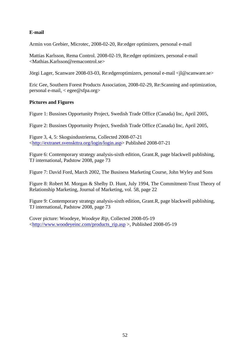### **E-mail**

Armin von Grebier, Microtec, 2008-02-20, Re:edger optimizers, personal e-mail

Mattias Karlsson, Rema Control. 2008-02-19, Re:edger optimizers, personal e-mail <Mathias.Karlsson@remacontrol.se>

Jörgi Lager, Scanware 2008-03-03, Re:edgeroptimizers, personal e-mail <jl@scanware.se>

Eric Gee, Southern Forest Products Association, 2008-02-29, Re:Scanning and optimization, personal e-mail, < egee@sfpa.org>

#### **Pictures and Figures**

Figure 1: Bussines Opportunity Project, Swedish Trade Office (Canada) Inc, April 2005,

Figure 2: Bussines Opportunity Project, Swedish Trade Office (Canada) Inc, April 2005,

Figure 3, 4, 5: Skogsindustrierna, Collected 2008-07-21 <[http://extranet.svenskttra.org/login/login.asp>](http://extranet.svenskttra.org/login/login.asp) Published 2008-07-21

Figure 6: Contemporary strategy analysis-sixth edition, Grant.R, page blackwell publishing, TJ international, Padstow 2008, page 73

Figure 7: David Ford, March 2002, The Business Marketing Course, John Wyley and Sons

Figure 8: Robert M. Morgan & Shelby D. Hunt, July 1994, The Commitment-Trust Theory of Relationship Marketing, Journal of Marketing, vol. 58, page 22

Figure 9: Contemporary strategy analysis-sixth edition, Grant.R, page blackwell publishing, TJ international, Padstow 2008, page 73

Cover picture: Woodeye, *Woodeye Rip,* Collected 2008-05-19 <[http://www.woodeyeinc.com/products\\_rip.asp](http://www.woodeyeinc.com/products_rip.asp) >, Published 2008-05-19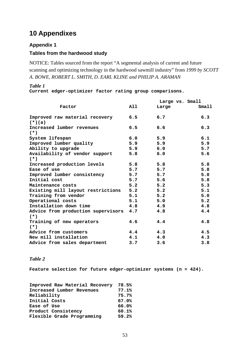# <span id="page-55-0"></span>**10 Appendixes**

### **Appendix 1**

### **Tables from the hardwood study**

NOTICE: Tables sourced from the report "A segmental analysis of current and future scanning and optimizing technology in the hardwood sawmill industry" from *1999 by SCOTT A. BOWE, ROBERT L. SMITH, D. EARL KLINE and PHILIP A. ARAMAN* 

#### *Table 1*

**Current edger-optimizer factor rating group comparisons.** 

|                                                |     |       | Large vs. Small |  |
|------------------------------------------------|-----|-------|-----------------|--|
| Factor                                         | All | Large | Small           |  |
| Improved raw material recovery 6.5<br>$(*)(a)$ |     | 6.7   | 6.3             |  |
| Increased lumber revenues<br>$(*)$             | 6.5 | 6.6   | 6.3             |  |
| System lifespan                                | 6.0 | 5.9   | 6.1             |  |
| Improved lumber quality                        | 5.9 | 5.9   | 5.9             |  |
| Ability to upgrade                             | 5.9 | 6.0   | 5.7             |  |
| Availability of vendor support<br>$(* )$       | 5.8 | 6.0   | 5.6             |  |
| Increased production levels                    | 5.8 | 5.8   | 5.8             |  |
| Ease of use                                    | 5.7 | 5.7   | 5.8             |  |
| Improved lumber consistency                    | 5.7 | 5.7   | 5.8             |  |
| Initial cost                                   | 5.7 | 5.6   | 5.8             |  |
| Maintenance costs                              | 5.2 | 5.2   | 5.3             |  |
| Existing mill layout restrictions              | 5.2 | 5.2   | 5.1             |  |
| Training from vendor                           | 5.1 | 5.2   | 5.0             |  |
| Operational costs                              | 5.1 | 5.0   | 5.2             |  |
| Installation down time                         | 4.8 | 4.9   | 4.8             |  |
| Advice from production supervisors<br>$(* )$   | 4.7 | 4.8   | 4.4             |  |
| Training of new operators<br>$(*)$             | 4.6 | 4.4   | 4.8             |  |
| Advice from customers                          | 4.4 | 4.3   | 4.5             |  |
| New mill installation                          | 4.1 | 4.0   | 4.3             |  |
| Advice from sales department                   | 3.7 | 3.6   | 3.8             |  |

#### *Table 2*

**Feature selection for future edger-optimizer systems (n = 424).** 

| Improved Raw Material Recovery | 78.5% |
|--------------------------------|-------|
| Increased Lumber Revenues      | 77.1% |
| Reliability                    | 75.7% |
| Initial Costs                  | 67.0% |
| Ease of Use                    | 66.0% |
| Product Consistency            | 60.1% |
| Flexible Grade Programming     | 59.2% |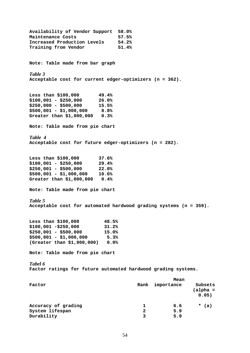**Availability of Vendor Support 58.0%**  Maintenance Costs 57.5% **Increased Production Levels 54.2% Training from Vendor 51.4% Note: Table made from bar graph**  *Table 3*  **Acceptable cost for current edger-optimizers (n = 362). Less than \$100,000 49.4% \$100,001 - \$250,000 26.0% \$250,000 - \$500,000 15.5% \$500,001 - \$1,000,000 8.8% Greater than \$1,000,000 0.3% Note: Table made from pie chart**  *Table 4* **Acceptable cost for future edger-optimizers (n = 282). Less than \$100,000 37.6% \$100,001 - \$250,000 29.4% \$250,001 - \$500,000 22.0% \$500,001 - \$1,000,000 10.6% Greater than \$1,000,000 0.4% Note: Table made from pie chart**  *Table 5*  **Acceptable cost for automated hardwood grading systems (n = 359). Less than \$100,000 48.5% \$100,001 -\$250,000 31.2% \$250,001 - \$500,000 15.0% \$500,001 - \$1,000,000 5.3% (Greater than \$1,000,000) 0.0% Note: Table made from pie chart**  *Tabel 6*  **Factor ratings for future automated hardwood grading systems. Mean Mean Factor Rank importance Subsets (alpha = 0.05)**  Accuracy of grading **1** 6.6 \* (a) **System lifespan 2 5.9 Durability** 5.9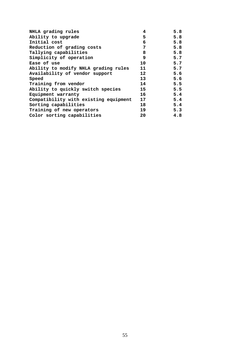| NHLA grading rules                    | 4               | 5.8 |
|---------------------------------------|-----------------|-----|
| Ability to upgrade                    | 5               | 5.8 |
| Initial cost                          | 6               | 5.8 |
| Reduction of grading costs            | 7               | 5.8 |
| Tallying capabilities                 | 8               | 5.8 |
| Simplicity of operation               | 9               | 5.7 |
| Ease of use                           | 10              | 5.7 |
| Ability to modify NHLA grading rules  | 11              | 5.7 |
| Availability of vendor support        | 12 <sub>1</sub> | 5.6 |
| Speed                                 | 13              | 5.6 |
| Training from vendor                  | 14              | 5.5 |
| Ability to quickly switch species     | 15              | 5.5 |
| Equipment warranty                    | 16              | 5.4 |
| Compatibility with existing equipment | 17              | 5.4 |
| Sorting capabilities                  | 18              | 5.4 |
| Training of new operators             | 19              | 5.3 |
| Color sorting capabilities            | 20              | 4.8 |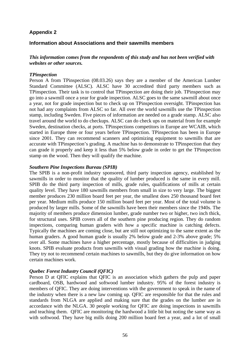## <span id="page-58-0"></span>**Appendix 2**

#### **Information about Associations and their sawmills members**

#### *This information comes from the respondents of this study and has not been verified with websites or other sources.*

#### *TPinspection*

Person A from TPinspection (08.03.26) says they are a member of the American Lumber Standard Committee (ALSC). ALSC have 30 accredited third party members such as TPinspection. Their task is to control that TPinspection are doing their job. TPinspection may go into a sawmill once a year for grade inspection. ALSC goes to the same sawmill about once a year, not for grade inspection but to check up on TPinspection oversight. TPinspection has not had any complaints from ALSC so far. All over the world sawmills use the TPinspection stamp, including Sweden. Five pieces of information are needed on a grade stamp. ALSC also travel around the world to do checkups. ALSC can do check ups on material from for example Sweden, destination checks, at ports. TPinspections competitors in Europe are WCAIB, which started in Europe three or four years before TPinspection. TPinspection has been in Europe since 2001. They can recommend scanners and optimizing equipment to sawmills that are accurate with TPinspection's grading. A machine has to demonstrate to TPinspection that they can grade it properly and keep it less than 5% below grade in order to get the TPinspection stamp on the wood. Then they will qualify the machine.

#### *Southern Pine Inspections Bureau (SPIB)*

The SPIB is a non-profit industry sponsored, third party inspection agency, established by sawmills in order to monitor that the quality of lumber produced is the same in every mill. SPIB do the third party inspection of mills, grade rules, qualifications of mills at certain quality level. They have 180 sawmills members from small in size to very large. The biggest member produces 230 million board feet per year, the smallest does 250 thousand board feet per year. Medium mills produce 150 million board feet per year. Most of the total volume is produced by larger mills. Some of the sawmills have been their members since the 1940s. The majority of members produce dimension lumber, grade number two or higher, two inch thick, for structural uses. SPIB covers all of the southern pine producing region. They do random inspections, comparing human graders with how a specific machine is catching defects. Typically the machines are coming close, but are still not optimizing to the same extent as the human graders. A good human grade is usually 2% below grade and 2-3% above grade; 5% over all. Some machines have a higher percentage, mostly because of difficulties in judging knots. SPIB evaluate products from sawmills with visual grading how the machine is doing. They try not to recommend certain machines to sawmills, but they do give information on how certain machines work.

#### *Quebec Forest Industry Council (QFIC)*

Person D at QFIC explains that QFIC is an association which gathers the pulp and paper cardboard, OSB, hardwood and softwood lumber industry. 95% of the forest industry is members of QFIC. They are doing interventions with the government to speak in the name of the industry when there is a new law coming up. QFIC are responsible for that the rules and standards from NLGA are applied and making sure that the grades on the lumber are in accordance with the NLGA. 30 people working for QFIC are doing inspections in sawmills and teaching them. QFIC are monitoring the hardwood a little bit but noting the same way as with softwood. They have big mills doing 200 million board feet a year, and a lot of small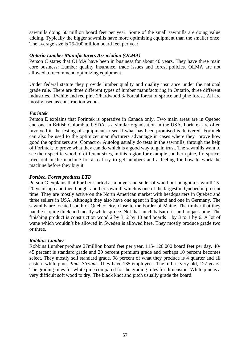sawmills doing 50 million board feet per year. Some of the small sawmills are doing value adding. Typically the bigger sawmills have more optimizing equipment than the smaller once. The average size is 75-100 million board feet per year.

#### *Ontario Lumber Manufacturers Association (OLMA)*

Person C states that OLMA have been in business for about 40 years. They have three main core business: Lumber quality insurance, trade issues and forest policies. OLMA are not allowed to recommend optimizing equipment.

Under federal statute they provide lumber quality and quality insurance under the national grade rule. There are three different types of lumber manufacturing in Ontario, three different industries.: 1/white and red pine 2/hardwood 3/ boreal forest of spruce and pine forest. All are mostly used as construction wood.

#### *Forintek*

Person E explains that Forintek is operative in Canada only. Two main areas are in Quebec and one in British Colombia. USDA is a similar organisation in the USA. Forintek are often involved in the testing of equipment to see if what has been promised is delivered. Forintek can also be used to the optimizer manufacturers advantage in cases where they prove how good the optimizers are. Comact or Autolog usually do tests in the sawmills, through the help of Forintek, to prove what they can do which is a good way to gain trust. The sawmills want to see their specific wood of different sizes, in this region for example southern pine, fir, spruce, tried out in the machine for a real try to get numbers and a feeling for how to work the machine before they buy it.

#### *Portbec, Forest products LTD*

Person G explains that Portbec started as a buyer and seller of wood but bought a sawmill 15- 20 years ago and then bought another sawmill which is one of the largest in Quebec in present time. They are mostly active on the North American market with headquarters in Quebec and three sellers in USA. Although they also have one agent in England and one in Germany. The sawmills are located south of Quebec city, close to the border of Maine. The timber that they handle is quite thick and mostly white spruce. Not that much balsam fir, and no jack pine. The finishing product is construction wood 2 by 3, 2 by 10 and boards 1 by 3 to 1 by 6. A lot of wane which wouldn't be allowed in Sweden is allowed here. They mostly produce grade two or three.

#### *Robbins Lumber*

Robbins Lumber produce 27million board feet per year. 115- 120 000 board feet per day. 40- 45 percent is standard grade and 20 percent premium grade and perhaps 10 percent becomes select. They mostly sell standard grade. 98 percent of what they produce is 4 quarter and all eastern white pine, P*inus Strobus*. They have 135 employees. The mill is very old, 127 years. The grading rules for white pine compared for the grading rules for dimension. White pine is a very difficult soft wood to dry. The black knot and pitch usually grade the board.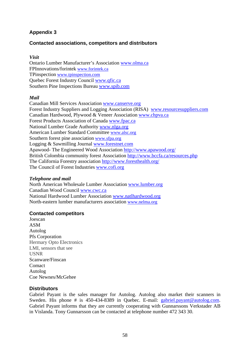# <span id="page-60-0"></span>**Appendix 3**

## **Contacted associations, competitors and distributors**

#### *Visit*

Ontario Lumber Manufacturer's Association [www.olma.ca](http://www.olma.ca/) FPInnovations/forintek [www.forintek.ca](http://www.forintek.ca/) TPinspection [www.tpinspection.com](http://www.tpinspection.com/) Quebec Forest Industry Council [www.qfic.ca](http://www.qfic.ca/) Southern Pine Inspections Bureau [www.spib.com](http://www.spib.com/)

#### *Mail*

Canadian Mill Services Association [www.canserve.org](http://www.canserve.org/) Forest Industry Suppliers and Logging Association (RISA) [www.resourcesuppliers.com](http://www.resourcesuppliers.com/) Canadian Hardwood, Plywood & Veneer Association [www.chpva.ca](http://www.chpva.ca/) Forest Products Association of Canada [www.fpac.ca](http://www.fpac.ca/) National Lumber Grade Authority [www.nlga.org](http://www.nlga.org/) American Lumber Standard Committee [www.alsc.org](http://www.alsc.org/) Southern forest pine association [www.sfpa.org](http://www.sfpa.org/) Logging & Sawmilling Journal [www.forestnet.com](http://www.forestnet.com/) Apawood- The Engineered Wood Association<http://www.apawood.org/> British Colombia community forest Association <http://www.bccfa.ca/resources.php> The California Forestry association <http://www.foresthealth.org/> The Council of Forest Industries [www.cofi.org](http://www.cofi.org/) 

#### *Telephone and mail*

North American Wholesale Lumber Association [www.lumber.org](http://www.lumber.org/)  Canadian Wood Council [www.cwc.ca](http://www.cwc.ca/) National Hardwood Lumber Association [www.natlhardwood.org](http://www.natlhardwood.org/) North-eastern lumber manufacturers association [www.nelma.org](http://www.nelma.org/)

#### **Contacted competitors**

Joescan ASM Autolog Pfs Corporation Hermary Opto Electronics LMI, sensors that see USNR Scanware/Finscan Comact Autolog Coe Newnes/McGehee

#### **Distributors**

Gabriel Payant is the sales manager for Autolog. Autolog also market their scanners in Sweden. His phone # is 450-434-8389 in Quebec. E-mail: [gabriel.payant@autolog.com](mailto:gabriel.payant@autolog.com). Gabriel Payant informs that they are currently cooperating with Gunnarssons Verkstader AB in Vislanda. Tony Gunnarsson can be contacted at telephone number 472 343 30.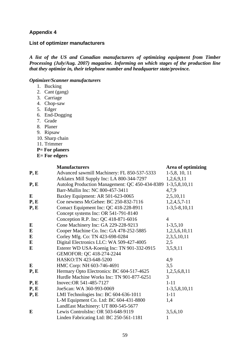## <span id="page-61-0"></span>**Appendix 4**

#### **List of optimizer manufacturers**

*A list of the US and Canadian manufacturers of optimizing equipment from Timber Processing (July/Aug. 2007) magazine. Informing on which stages of the production line that they optimize in, their telephone number and headquarter state/province.* 

#### *Optimizer/Scanner manufacturers*

- 1. Bucking
- 2. Cant (gang)
- 3. Carriage
- 4. Chop-saw
- 5. Edger
- 6. End-Dogging
- 7. Grade
- 8. Planer
- 9. Ripsaw
- 10. Sharp chain
- 11. Trimmer
- **P= For planers**
- **E= For edgers**

|           | <b>Manufacturers</b>                           | Area of optimizing |
|-----------|------------------------------------------------|--------------------|
| P, E      | Advanced sawmill Machinery: FL 850-537-5333    | $1-5, 8, 10, 11$   |
|           | Arklatex Mill Supply Inc: LA 800-344-7297      | 1,2,6,9,11         |
| P, E      | Autolog Production Management: QC 450-434-8389 | $1-3,5,8,10,11$    |
|           | Barr-Mullin Inc: NC 800-457-3411               | 4,7,9              |
| E         | Baxley Equipment: AR 501-623-0065              | 2,5,10,11          |
| P, E      | Coe newness McGehee: BC 250-832-7116           | $1,2,4,5,7-11$     |
| P, E      | Comact Equipment Inc: QC 418-228-8911          | $1-3,5-8,10,11$    |
|           | Concept systems Inc: OR 541-791-8140           |                    |
|           | Conception R.P. Inc: QC 418-871-6016           | 4                  |
| E         | Cone Machinery Inc: GA 229-228-9213            | $1-3,5,10$         |
| ${\bf E}$ | Cooper Machine Co. Inc: GA 478-252-5885        | 1,2,5,6,10,11      |
| E         | Corley Mfg. Co: TN 423-698-0284                | 2,3,5,10,11        |
| ${\bf E}$ | Digital Electronics LLC: WA 509-427-4005       | 2,5                |
| $\bf{E}$  | Esterer WD USA-Koenig Inc: TN 901-332-0915     | 3,5,9,11           |
|           | GEMOFOR: QC 418-274-2244                       |                    |
|           | HASKO:TN 423-648-5200                          | 4,9                |
| E         | HMC Corp: NH 603-746-4691                      | 3,5                |
| P, E      | Hermary Opto Electronics: BC 604-517-4625      | 1,2,5,6,8,11       |
|           | Hurdle Machine Works Inc: TN 901-877-6251      | 3                  |
| P, E      | Inovec: OR 541-485-7127                        | $1 - 11$           |
| P, E      | JoeScan: WA 360-993-0069                       | $1-3,5,8,10,11$    |
| P, E      | LMI Technologies Inc: BC 604-636-1011          | $1 - 11$           |
|           | L-M Equipment Co. Ltd: BC 604-431-8800         | 1,4                |
|           | LandEast Machinery: UT 800-545-5677            |                    |
| E         | Lewis ControlsInc: OR 503-648-9119             | 3,5,6,10           |
|           | Linden Fabricating Ltd: BC 250-561-1181        | 1                  |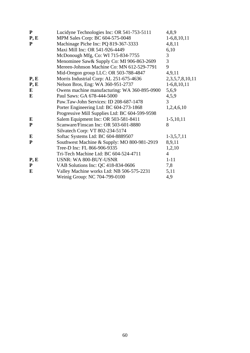| P         | Lucidyne Technologies Inc: OR 541-753-5111     | 4,8,9                 |
|-----------|------------------------------------------------|-----------------------|
| P, E      | MPM Sales Corp: BC 604-575-0048                | $1-6, 8, 10, 11$      |
| ${\bf P}$ | Machinage Piche Inc: PQ 819-367-3333           | 4,8,11                |
|           | Maxi Mill Inc: OR 541-926-4449                 | 6,10                  |
|           | McDonough Mfg, Co: WI 715-834-7755             | 3                     |
|           | Menominee Saw & Supply Co: MI 906-863-2609     | 3                     |
|           | Mereen-Johnson Machine Co: MN 612-529-7791     | 9                     |
|           | Mid-Oregon group LLC: OR 503-788-4847          | 4,9,11                |
| P, E      | Morris Industrial Corp: AL 251-675-4636        | 2, 3, 5, 7, 8, 10, 11 |
| P, E      | Nelson Bros, Eng: WA 360-951-2737              | $1-6, 8, 10, 11$      |
| $\bf{E}$  | Owens machine manufacturing: WA 360-895-0900   | 5,6,9                 |
| E         | Paul Saws: GA 678-444-5000                     | 4,5,9                 |
|           | Paw.Taw-John Services: ID 208-687-1478         | 3                     |
|           | Porter Engineering Ltd: BC 604-273-1868        | 1,2,4,6,10            |
|           | Progressive Mill Supplies Ltd: BC 604-599-9598 |                       |
| E         | Salem Equipment Inc: OR 503-581-8411           | $1-5, 10, 11$         |
| ${\bf P}$ | Scanware/Finscan Inc: OR 503-601-8880          | 8                     |
|           | Silvatech Corp: VT 802-234-5174                |                       |
| E         | Softac Systems Ltd: BC 604-8889507             | $1-3,5,7,11$          |
| ${\bf P}$ | Southwest Machine & Supply: MO 800-981-2919    | 8,9,11                |
|           | Tree-D Inc: FL 866-906-9335                    | 1,2,10                |
|           | Tri-Tech Machine Ltd: BC 604-524-4711          | $\overline{4}$        |
| P, E      | <b>USNR: WA 800-BUY-USNR</b>                   | $1 - 11$              |
| P         | VAB Solutions Inc: QC 418-834-0606             | 7,8                   |
| E         | Valley Machine works Ltd: NB 506-575-2231      | 5,11                  |
|           | Weinig Group: NC 704-799-0100                  | 4,9                   |
|           |                                                |                       |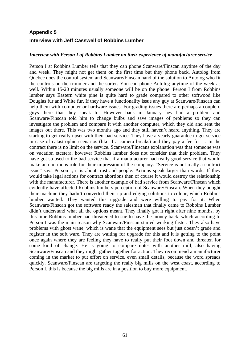# <span id="page-63-0"></span>**Appendix 5 Interview with Jeff Casswell of Robbins Lumber**

#### *Interview with Person I of Robbins Lumber on their experience of manufacturer service*

Person I at Robbins Lumber tells that they can phone Scanware/Finscan anytime of the day and week. They might not get them on the first time but they phone back. Autolog from Quebec does the control system and Scanware/Finscan hand of the solution to Autolog who fit the controls on the trimmer and the sorter. You can phone Autolog anytime of the week as well. Within 15-20 minutes usually someone will be on the phone. Person I from Robbins lumber says Eastern white pine is quite hard to grade compared to other softwood like Douglas fur and White fur. If they have a functionality issue any guy at Scanware/Finscan can help them with computer or hardware issues. For grading issues there are perhaps a couple o guys there that they speak to. However back in January hey had a problem and Scanware/Finscan told him to change bulbs and save images of problems so they can investigate the problem and compare it with another computer, which they did and sent the images out there. This was two months ago and they still haven't heard anything. They are starting to get really upset with their bad service. They have a yearly guarantee to get service in case of catastrophic scenarios (like if a camera breaks) and they pay a fee for it. In the contract there is no limit on the service. Scanware/Finscans explanation was that someone was on vacation etcetera, however Robbins lumber does not consider that their problem. They have got so used to the bad service that if a manufacturer had really good service that would make an enormous role for their impression of the company. "Service is not really a contract issue" says Person I, it is about trust and people. Actions speak larger than words. If they would take legal actions for contract abortions then of course it would destroy the relationship with the manufacturer. There is another example of bad service from Scanware/Finscan which evidently have affected Robbins lumbers perception of Scanware/Finscan. When they bought their machine they hadn't converted their rip and edging solutions to colour, which Robbins lumber wanted. They wanted this upgrade and were willing to pay for it. When Scanware/Finscan got the software ready the salesman that finally came to Robbins Lumber didn't understand what all the options meant. They finally got it right after nine months, by this time Robbins lumber had threatened to sue to have the money back, which according to Person I was the main reason why Scanware/Finscan started working faster. They also have problems with ghost wane, which is wane that the equipment sees but just doesn't grade and register in the soft ware. They are waiting for upgrade for this and it is getting to the point once again where they are feeling they have to really put their foot down and threaten for some kind of change. He is going to compare notes with another mill, also having Scanware/Finscan and they might gather together for action. They recommend a manufacturer coming in the market to put effort on service, even small details, because the word spreads quickly. Scanware/Finscan are targeting the really big mills on the west coast, according to Person I, this is because the big mills are in a position to buy more equipment.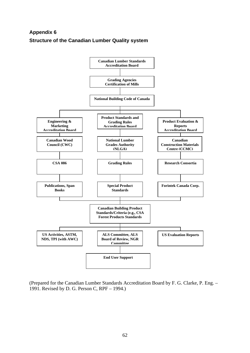# <span id="page-64-0"></span>**Appendix 6 Structure of the Canadian Lumber Quality system**



(Prepared for the Canadian Lumber Standards Accreditation Board by F. G. Clarke, P. Eng. – 1991. Revised by D. G. Person C, RPF – 1994.)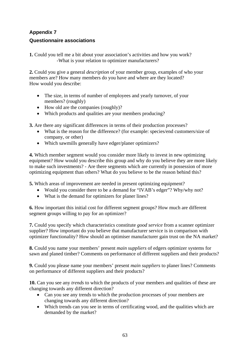# <span id="page-65-0"></span>**Appendix 7**

## **Questionnaire associations**

**1.** Could you tell me a bit about your association's activities and how you work? -What is your relation to optimizer manufacturers?

**2.** Could you give a general *description* of your member group, examples of who your members are? How many members do you have and where are they located? How would you describe:

- The size, in terms of number of employees and yearly turnover, of your members? (roughly)
- How old are the companies (roughly)?
- Which products and qualities are your members producing?

**3.** Are there any significant differences in terms of their production processes?

- What is the reason for the difference? (for example: species/end customers/size of company, or other)
- Which sawmills generally have edger/planer optimizers?

**4.** Which member segment would you consider more likely to invest in new optimizing equipment? How would you describe this group and why do you believe they are more likely to make such investments? - Are there segments which are currently in possession of more optimizing equipment than others? What do you believe to be the reason behind this?

**5.** Which areas of improvement are needed in present optimizing equipment?

- Would you consider there to be a demand for "IVAB's edger"? Why/why not?
- What is the demand for optimizers for planer lines?

**6.** How important this initial cost for different segment groups? How much are different segment groups willing to pay for an optimizer?

**7.** Could you specify which characteristics constitute *good service* from a scanner optimizer supplier? How important do you believe that manufacturer service is in comparison with optimizer functionality? How should an optimiser manufacturer gain trust on the NA market?

**8.** Could you name your members' present *main suppliers* of edgers optimizer systems for sawn and planed timber? Comments on performance of different suppliers and their products?

**9.** Could you please name your members' present *main suppliers* to planer lines? Comments on performance of different suppliers and their products?

**10.** Can you see any *trends* to which the products of your members and qualities of these are changing towards any different direction?

- Can you see any trends to which the production processes of your members are changing towards any different direction?
- Which trends can you see in terms of certificating wood, and the qualities which are demanded by the market?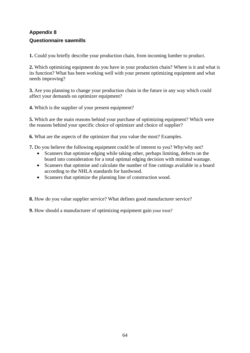# <span id="page-66-0"></span>**Appendix 8**

## **Questionnaire sawmills**

**1.** Could you briefly describe your production chain, from incoming lumber to product.

**2.** Which optimizing equipment do you have in your production chain? Where is it and what is its function? What has been working well with your present optimizing equipment and what needs improving?

**3.** Are you planning to change your production chain in the future in any way which could affect your demands on optimizer equipment?

**4.** Which is the supplier of your present equipment?

**5.** Which are the main reasons behind your purchase of optimizing equipment? Which were the reasons behind your specific choice of optimizer and choice of supplier?

**6.** What are the aspects of the optimizer that you value the most? Examples.

**7.** Do you believe the following equipment could be of interest to you? Why/why not?

- Scanners that optimise edging while taking other, perhaps limiting, defects on the board into consideration for a total optimal edging decision with minimal wastage.
- Scanners that optimise and calculate the number of fine cuttings available in a board according to the NHLA standards for hardwood.
- Scanners that optimize the planning line of construction wood.

**8.** How do you value supplier service? What defines good manufacturer service?

**9.** How should a manufacturer of optimizing equipment gain your trust?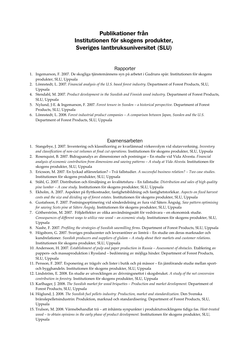# Publikationer från Institutionen för skogens produkter, Sveriges lantbruksuniversitet (SLU)

#### **Rapporter**

- 1. Ingemarson, F. 2007. De skogliga tjänstemännens syn på arbetet i Gudruns spår. Institutionen för skogens produkter, SLU, Uppsala
- 2. Lönnstedt, L. 2007. *Financial analysis of the U.S. based forest industry*. Department of Forest Products, SLU, Uppsala
- 4. Stendahl, M. 2007. *Product development in the Swedish and Finnish wood industry.* Department of Forest Products, SLU, Uppsala
- 5. Nylund, J-E. & Ingemarson, F. 2007. *Forest tenure in Sweden a historical perspective.* Department of Forest Products, SLU, Uppsala
- 6. Lönnstedt, L. 2008. *Forest industrial product companies A comparison between Japan, Sweden and the U.S.* Department of Forest Products, SLU, Uppsala

#### Examensarbeten

- 1. Stangebye, J. 2007. Inventering och klassificering av kvarlämnad virkesvolym vid slutavverkning. *Inventory and classification of non-cut volumes at final cut operations.* Institutionen för skogens produkter, SLU, Uppsala
- 2. Rosenquist, B. 2007. Bidragsanalys av dimensioner och postningar En studie vid Vida Alvesta. *Financial analysis of economic contribution from dimensions and sawing patterns – A study at Vida Alvesta.* Institutionen för skogens produkter, SLU, Uppsala
- 3. Ericsson, M. 2007. En lyckad affärsrelation? Två fallstudier. *A successful business relation? Two case studies.* Institutionen för skogens produkter, SLU, Uppsala
- 4. Ståhl, G. 2007. Distribution och försäljning av kvalitetsfuru En fallstudie. *Distribution and sales of high quality pine lumber – A case study*. Institutionen för skogens produkter, SLU, Uppsala
- 5. Ekholm, A. 2007. Aspekter på flyttkostnader, fastighetsbildning och fastighetstorlekar. *Aspects on fixed harvest costs and the size and dividing up of forest estates.* Institutionen för skogens produkter, SLU, Uppsala
- 6. Gustafsson, F. 2007. Postningsoptimering vid sönderdelning av fura vid Säters Ångsåg. *Saw pattern optimising for sawing Scots pine at Säters Ångsåg*. Institutionen för skogens produkter, SLU, Uppsala
- 7. Götherström, M. 2007. Följdeffekter av olika användningssätt för vedråvara en ekonomisk studie. *Consequences of different ways to utilize raw wood – an economic study*. Institutionen för skogens produkter, SLU, Uppsala
- 8. Nashr, F. 2007. *Profiling the strategies of Swedish sawmilling firms.* Department of Forest Products, SLU, Uppsala
- 9. Högsborn, G. 2007. Sveriges producenter och leverantörer av limträ En studie om deras marknader och kundrelationer. *Swedish producers and suppliers of glulam* – *A study about their markets and customer relations.*  Institutionen för skogens produkter, SLU, Uppsala
- 10. Andersson, H. 2007. *Establishment of pulp and paper production in Russia Assessment of obstacles.* Etablering av pappers- och massaproduktion i Ryssland – bedömning av möjliga hinder. Department of Forest Products, SLU, Uppsala
- 11. Persson, F. 2007. Exponering av trägolv och lister i butik och på mässor En jämförande studie mellan sportoch bygghandeln. Institutionen för skogens produkter, SLU, Uppsala
- 12. Lindström, E. 2008. En studie av utvecklingen av drivningsnettot i skogsbruket. *A study of the net conversion contribution in forestry.* Institutionen för skogens produkter, SLU, Uppsala
- 13. Karlhager, J. 2008. *The Swedish market for wood briquettes Production and market development.* Department of Forest Products, SLU, Uppsala
- 14. Höglund, J. 2008. *The Swedish fuel pellets industry: Production, market and standardization*. Den Svenska bränslepelletsindustrin: Produktion, marknad och standardisering. Department of Forest Products, SLU, Uppsala
- 15. Trulson, M. 2008. Värmebehandlat trä att inhämta synpunkter i produktutvecklingens tidiga fas. *Heat-treated wood – to obtain opinions in the early phase of product development.* Institutionen för skogens produkter, SLU, Uppsala